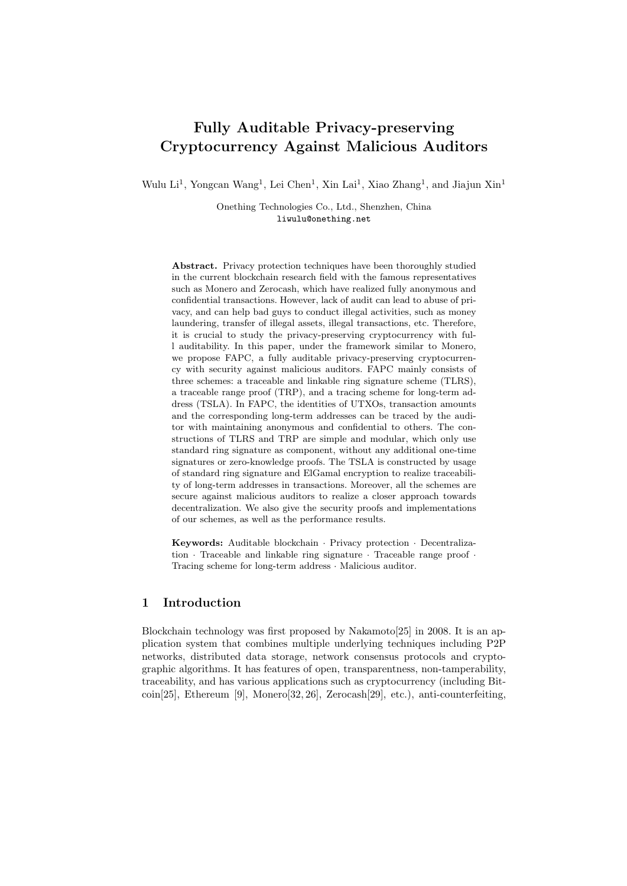# **Fully Auditable Privacy-preserving Cryptocurrency Against Malicious Auditors**

Wulu Li<sup>1</sup>, Yongcan Wang<sup>1</sup>, Lei Chen<sup>1</sup>, Xin Lai<sup>1</sup>, Xiao Zhang<sup>1</sup>, and Jiajun Xin<sup>1</sup>

Onething Technologies Co., Ltd., Shenzhen, China liwulu@onething.net

**Abstract.** Privacy protection techniques have been thoroughly studied in the current blockchain research field with the famous representatives such as Monero and Zerocash, which have realized fully anonymous and confidential transactions. However, lack of audit can lead to abuse of privacy, and can help bad guys to conduct illegal activities, such as money laundering, transfer of illegal assets, illegal transactions, etc. Therefore, it is crucial to study the privacy-preserving cryptocurrency with full auditability. In this paper, under the framework similar to Monero, we propose FAPC, a fully auditable privacy-preserving cryptocurrency with security against malicious auditors. FAPC mainly consists of three schemes: a traceable and linkable ring signature scheme (TLRS), a traceable range proof (TRP), and a tracing scheme for long-term address (TSLA). In FAPC, the identities of UTXOs, transaction amounts and the corresponding long-term addresses can be traced by the auditor with maintaining anonymous and confidential to others. The constructions of TLRS and TRP are simple and modular, which only use standard ring signature as component, without any additional one-time signatures or zero-knowledge proofs. The TSLA is constructed by usage of standard ring signature and ElGamal encryption to realize traceability of long-term addresses in transactions. Moreover, all the schemes are secure against malicious auditors to realize a closer approach towards decentralization. We also give the security proofs and implementations of our schemes, as well as the performance results.

**Keywords:** Auditable blockchain · Privacy protection · Decentralization · Traceable and linkable ring signature · Traceable range proof · Tracing scheme for long-term address · Malicious auditor.

# **1 Introduction**

Blockchain technology was first proposed by Nakamoto[25] in 2008. It is an application system that combines multiple underlying techniques including P2P networks, distributed data storage, network consensus protocols and cryptographic algorithms. It has features of open, transparentness, non-tamperability, traceability, and has various applications such as cryptocurrency (including Bitcoin[25], Ethereum [9], Monero[32, 26], Zerocash[29], etc.), anti-counterfeiting,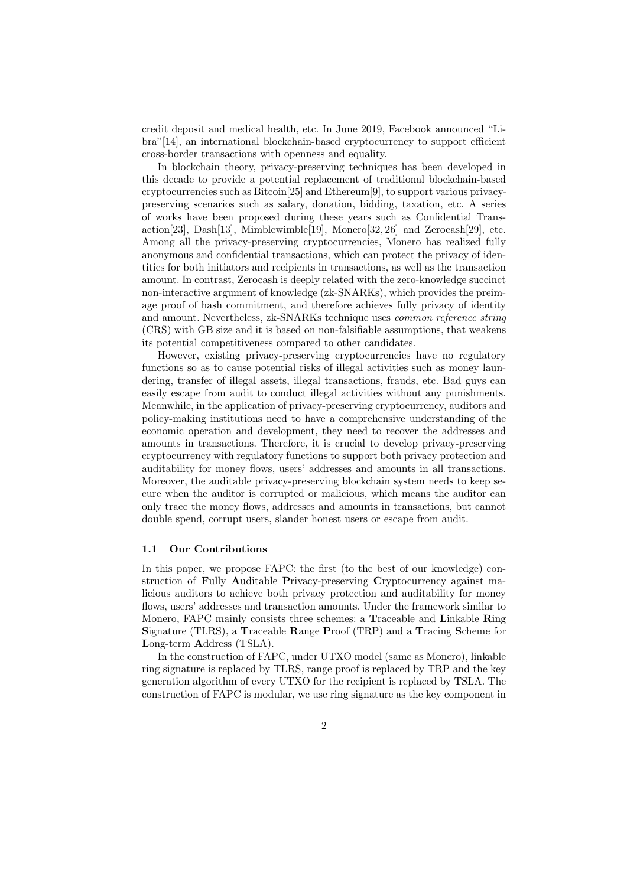credit deposit and medical health, etc. In June 2019, Facebook announced "Libra"[14], an international blockchain-based cryptocurrency to support efficient cross-border transactions with openness and equality.

In blockchain theory, privacy-preserving techniques has been developed in this decade to provide a potential replacement of traditional blockchain-based cryptocurrencies such as Bitcoin[25] and Ethereum[9], to support various privacypreserving scenarios such as salary, donation, bidding, taxation, etc. A series of works have been proposed during these years such as Confidential Transaction[23], Dash[13], Mimblewimble[19], Monero[32, 26] and Zerocash[29], etc. Among all the privacy-preserving cryptocurrencies, Monero has realized fully anonymous and confidential transactions, which can protect the privacy of identities for both initiators and recipients in transactions, as well as the transaction amount. In contrast, Zerocash is deeply related with the zero-knowledge succinct non-interactive argument of knowledge (zk-SNARKs), which provides the preimage proof of hash commitment, and therefore achieves fully privacy of identity and amount. Nevertheless, zk-SNARKs technique uses *common reference string* (CRS) with GB size and it is based on non-falsifiable assumptions, that weakens its potential competitiveness compared to other candidates.

However, existing privacy-preserving cryptocurrencies have no regulatory functions so as to cause potential risks of illegal activities such as money laundering, transfer of illegal assets, illegal transactions, frauds, etc. Bad guys can easily escape from audit to conduct illegal activities without any punishments. Meanwhile, in the application of privacy-preserving cryptocurrency, auditors and policy-making institutions need to have a comprehensive understanding of the economic operation and development, they need to recover the addresses and amounts in transactions. Therefore, it is crucial to develop privacy-preserving cryptocurrency with regulatory functions to support both privacy protection and auditability for money flows, users' addresses and amounts in all transactions. Moreover, the auditable privacy-preserving blockchain system needs to keep secure when the auditor is corrupted or malicious, which means the auditor can only trace the money flows, addresses and amounts in transactions, but cannot double spend, corrupt users, slander honest users or escape from audit.

# **1.1 Our Contributions**

In this paper, we propose FAPC: the first (to the best of our knowledge) construction of **F**ully **A**uditable **P**rivacy-preserving **C**ryptocurrency against malicious auditors to achieve both privacy protection and auditability for money flows, users' addresses and transaction amounts. Under the framework similar to Monero, FAPC mainly consists three schemes: a **T**raceable and **L**inkable **R**ing **S**ignature (TLRS), a **T**raceable **R**ange **P**roof (TRP) and a **T**racing **S**cheme for **L**ong-term **A**ddress (TSLA).

In the construction of FAPC, under UTXO model (same as Monero), linkable ring signature is replaced by TLRS, range proof is replaced by TRP and the key generation algorithm of every UTXO for the recipient is replaced by TSLA. The construction of FAPC is modular, we use ring signature as the key component in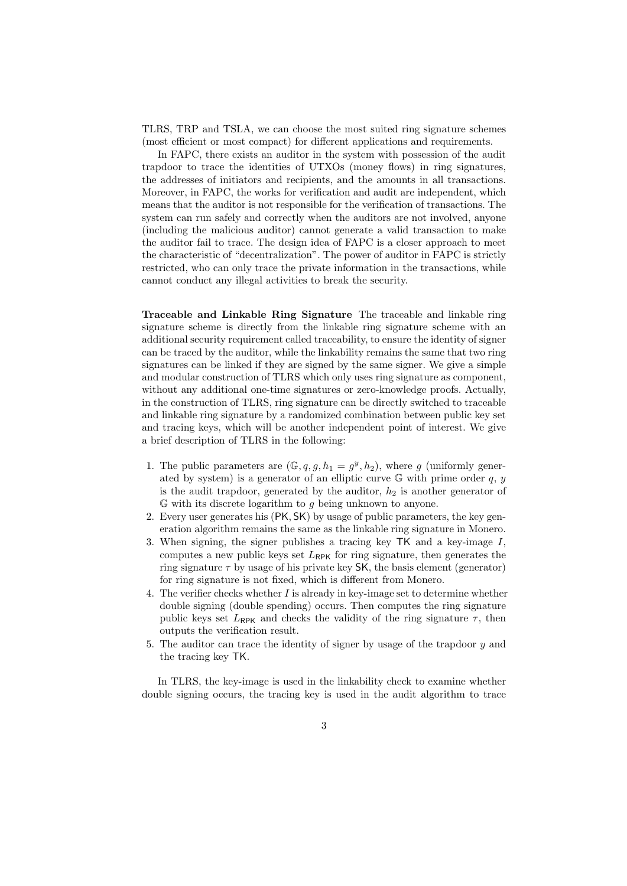TLRS, TRP and TSLA, we can choose the most suited ring signature schemes (most efficient or most compact) for different applications and requirements.

In FAPC, there exists an auditor in the system with possession of the audit trapdoor to trace the identities of UTXOs (money flows) in ring signatures, the addresses of initiators and recipients, and the amounts in all transactions. Moreover, in FAPC, the works for verification and audit are independent, which means that the auditor is not responsible for the verification of transactions. The system can run safely and correctly when the auditors are not involved, anyone (including the malicious auditor) cannot generate a valid transaction to make the auditor fail to trace. The design idea of FAPC is a closer approach to meet the characteristic of "decentralization". The power of auditor in FAPC is strictly restricted, who can only trace the private information in the transactions, while cannot conduct any illegal activities to break the security.

**Traceable and Linkable Ring Signature** The traceable and linkable ring signature scheme is directly from the linkable ring signature scheme with an additional security requirement called traceability, to ensure the identity of signer can be traced by the auditor, while the linkability remains the same that two ring signatures can be linked if they are signed by the same signer. We give a simple and modular construction of TLRS which only uses ring signature as component, without any additional one-time signatures or zero-knowledge proofs. Actually, in the construction of TLRS, ring signature can be directly switched to traceable and linkable ring signature by a randomized combination between public key set and tracing keys, which will be another independent point of interest. We give a brief description of TLRS in the following:

- 1. The public parameters are  $(\mathbb{G}, q, g, h_1 = g^y, h_2)$ , where *g* (uniformly generated by system) is a generator of an elliptic curve G with prime order *q*, *y* is the audit trapdoor, generated by the auditor,  $h_2$  is another generator of G with its discrete logarithm to *g* being unknown to anyone.
- 2. Every user generates his (PK*,* SK) by usage of public parameters, the key generation algorithm remains the same as the linkable ring signature in Monero.
- 3. When signing, the signer publishes a tracing key TK and a key-image *I*, computes a new public keys set  $L_{RPK}$  for ring signature, then generates the ring signature  $\tau$  by usage of his private key SK, the basis element (generator) for ring signature is not fixed, which is different from Monero.
- 4. The verifier checks whether *I* is already in key-image set to determine whether double signing (double spending) occurs. Then computes the ring signature public keys set  $L_{RPK}$  and checks the validity of the ring signature  $\tau$ , then outputs the verification result.
- 5. The auditor can trace the identity of signer by usage of the trapdoor *y* and the tracing key TK.

In TLRS, the key-image is used in the linkability check to examine whether double signing occurs, the tracing key is used in the audit algorithm to trace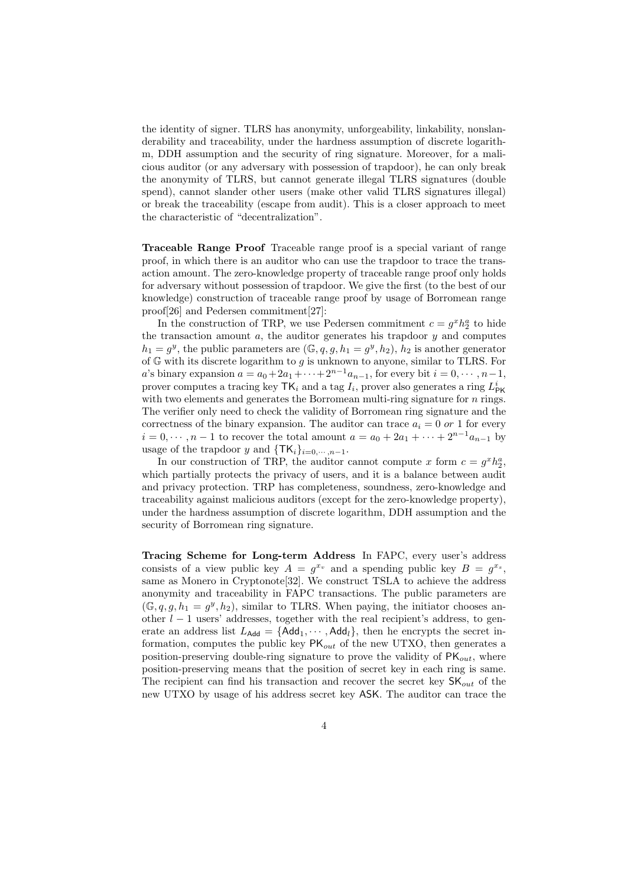the identity of signer. TLRS has anonymity, unforgeability, linkability, nonslanderability and traceability, under the hardness assumption of discrete logarithm, DDH assumption and the security of ring signature. Moreover, for a malicious auditor (or any adversary with possession of trapdoor), he can only break the anonymity of TLRS, but cannot generate illegal TLRS signatures (double spend), cannot slander other users (make other valid TLRS signatures illegal) or break the traceability (escape from audit). This is a closer approach to meet the characteristic of "decentralization".

**Traceable Range Proof** Traceable range proof is a special variant of range proof, in which there is an auditor who can use the trapdoor to trace the transaction amount. The zero-knowledge property of traceable range proof only holds for adversary without possession of trapdoor. We give the first (to the best of our knowledge) construction of traceable range proof by usage of Borromean range proof[26] and Pedersen commitment[27]:

In the construction of TRP, we use Pedersen commitment  $c = g^x h_2^a$  to hide the transaction amount *a*, the auditor generates his trapdoor *y* and computes  $h_1 = g^y$ , the public parameters are  $(\mathbb{G}, q, g, h_1 = g^y, h_2)$ ,  $h_2$  is another generator of G with its discrete logarithm to *g* is unknown to anyone, similar to TLRS. For *a*'s binary expansion  $a = a_0 + 2a_1 + \cdots + 2^{n-1}a_{n-1}$ , for every bit  $i = 0, \dots, n-1$ , prover computes a tracing key  $\mathsf{TK}_i$  and a tag  $I_i$ , prover also generates a ring  $L^i_{\mathsf{PK}}$ with two elements and generates the Borromean multi-ring signature for *n* rings. The verifier only need to check the validity of Borromean ring signature and the correctness of the binary expansion. The auditor can trace  $a_i = 0$  or 1 for every  $i = 0, \dots, n-1$  to recover the total amount  $a = a_0 + 2a_1 + \dots + 2^{n-1}a_{n-1}$  by usage of the trapdoor *y* and  $\{TK_i\}_{i=0,\dots,n-1}$ .

In our construction of TRP, the auditor cannot compute *x* form  $c = g^x h_2^a$ , which partially protects the privacy of users, and it is a balance between audit and privacy protection. TRP has completeness, soundness, zero-knowledge and traceability against malicious auditors (except for the zero-knowledge property), under the hardness assumption of discrete logarithm, DDH assumption and the security of Borromean ring signature.

**Tracing Scheme for Long-term Address** In FAPC, every user's address consists of a view public key  $A = g^{x_v}$  and a spending public key  $B = g^{x_s}$ , same as Monero in Cryptonote[32]. We construct TSLA to achieve the address anonymity and traceability in FAPC transactions. The public parameters are  $(\mathbb{G}, q, g, h_1 = g^y, h_2)$ , similar to TLRS. When paying, the initiator chooses another *l −* 1 users' addresses, together with the real recipient's address, to generate an address list  $L_{\text{Add}} = \{ \text{Add}_1, \cdots, \text{Add}_l \}$ , then he encrypts the secret information, computes the public key PK*out* of the new UTXO, then generates a position-preserving double-ring signature to prove the validity of PK*out*, where position-preserving means that the position of secret key in each ring is same. The recipient can find his transaction and recover the secret key  $\mathsf{SK}_{out}$  of the new UTXO by usage of his address secret key ASK. The auditor can trace the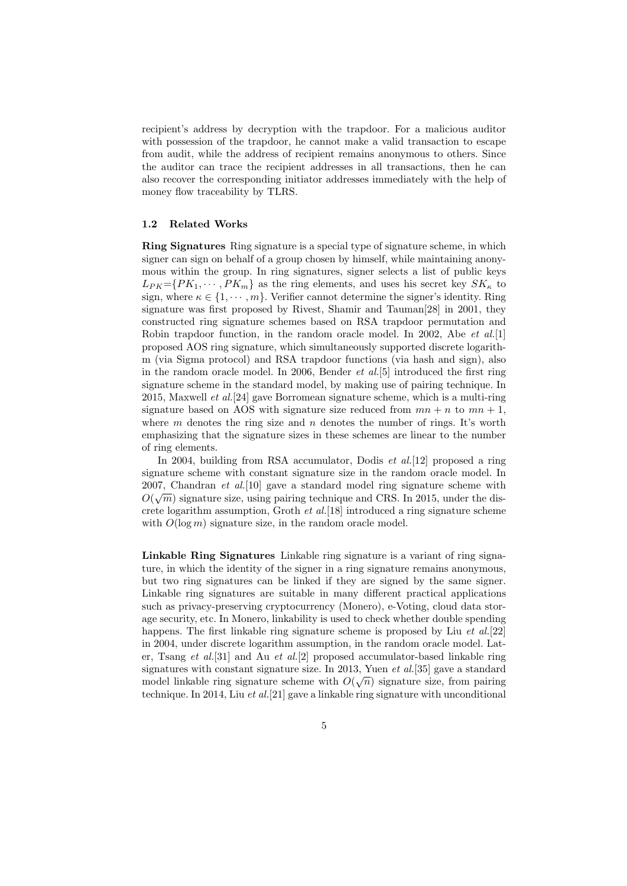recipient's address by decryption with the trapdoor. For a malicious auditor with possession of the trapdoor, he cannot make a valid transaction to escape from audit, while the address of recipient remains anonymous to others. Since the auditor can trace the recipient addresses in all transactions, then he can also recover the corresponding initiator addresses immediately with the help of money flow traceability by TLRS.

# **1.2 Related Works**

**Ring Signatures** Ring signature is a special type of signature scheme, in which signer can sign on behalf of a group chosen by himself, while maintaining anonymous within the group. In ring signatures, signer selects a list of public keys  $L_{PK} = \{PK_1, \dots, PK_m\}$  as the ring elements, and uses his secret key  $SK_{\kappa}$  to sign, where  $\kappa \in \{1, \cdots, m\}$ . Verifier cannot determine the signer's identity. Ring signature was first proposed by Rivest, Shamir and Tauman[28] in 2001, they constructed ring signature schemes based on RSA trapdoor permutation and Robin trapdoor function, in the random oracle model. In 2002, Abe *et al.*[1] proposed AOS ring signature, which simultaneously supported discrete logarithm (via Sigma protocol) and RSA trapdoor functions (via hash and sign), also in the random oracle model. In 2006, Bender *et al.*[5] introduced the first ring signature scheme in the standard model, by making use of pairing technique. In 2015, Maxwell *et al.*[24] gave Borromean signature scheme, which is a multi-ring signature based on AOS with signature size reduced from  $mn + n$  to  $mn + 1$ , where *m* denotes the ring size and *n* denotes the number of rings. It's worth emphasizing that the signature sizes in these schemes are linear to the number of ring elements.

In 2004, building from RSA accumulator, Dodis *et al.*[12] proposed a ring signature scheme with constant signature size in the random oracle model. In 2007, Chandran *et al.*[10] gave a standard model ring signature scheme with  $\hat{\theta}$  (◯ ◯ ) is a standard model ring signature scheme with  $O(\sqrt{m})$  signature size, using pairing technique and CRS. In 2015, under the discrete logarithm assumption, Groth *et al.*[18] introduced a ring signature scheme with  $O(\log m)$  signature size, in the random oracle model.

**Linkable Ring Signatures** Linkable ring signature is a variant of ring signature, in which the identity of the signer in a ring signature remains anonymous, but two ring signatures can be linked if they are signed by the same signer. Linkable ring signatures are suitable in many different practical applications such as privacy-preserving cryptocurrency (Monero), e-Voting, cloud data storage security, etc. In Monero, linkability is used to check whether double spending happens. The first linkable ring signature scheme is proposed by Liu *et al.*[22] in 2004, under discrete logarithm assumption, in the random oracle model. Later, Tsang *et al.*[31] and Au *et al.*[2] proposed accumulator-based linkable ring signatures with constant signature size. In 2013, Yuen *et al.*[35] gave a standard model linkable ring signature scheme with  $O(\sqrt{n})$  signature size, from pairing technique. In 2014, Liu *et al.*[21] gave a linkable ring signature with unconditional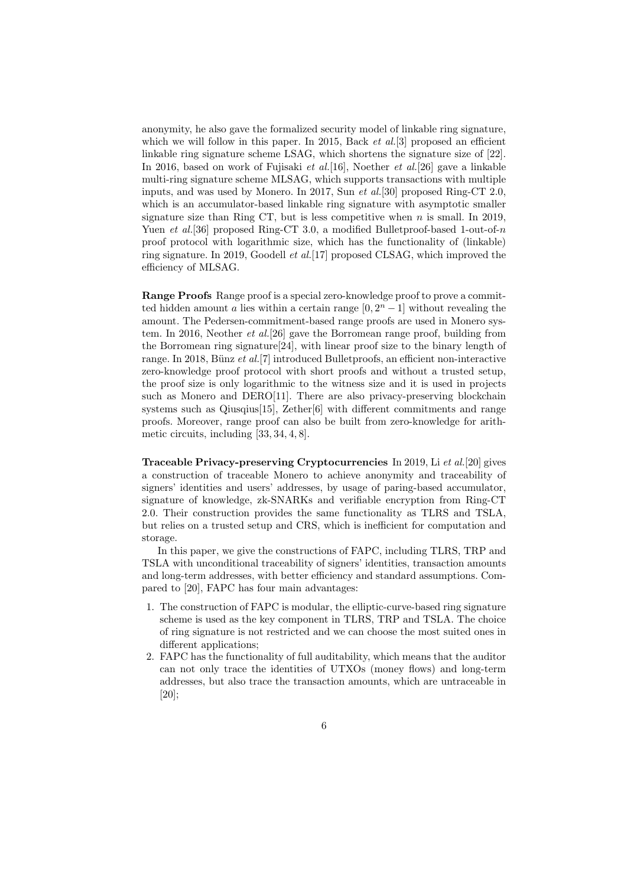anonymity, he also gave the formalized security model of linkable ring signature, which we will follow in this paper. In 2015, Back *et al.*[3] proposed an efficient linkable ring signature scheme LSAG, which shortens the signature size of [22]. In 2016, based on work of Fujisaki *et al.*[16], Noether *et al.*[26] gave a linkable multi-ring signature scheme MLSAG, which supports transactions with multiple inputs, and was used by Monero. In 2017, Sun *et al.*[30] proposed Ring-CT 2.0, which is an accumulator-based linkable ring signature with asymptotic smaller signature size than Ring CT, but is less competitive when  $n$  is small. In 2019, Yuen *et al.*[36] proposed Ring-CT 3.0, a modified Bulletproof-based 1-out-of-*n* proof protocol with logarithmic size, which has the functionality of (linkable) ring signature. In 2019, Goodell *et al.*[17] proposed CLSAG, which improved the efficiency of MLSAG.

**Range Proofs** Range proof is a special zero-knowledge proof to prove a committed hidden amount *a* lies within a certain range  $[0, 2<sup>n</sup> - 1]$  without revealing the amount. The Pedersen-commitment-based range proofs are used in Monero system. In 2016, Neother *et al.*[26] gave the Borromean range proof, building from the Borromean ring signature[24], with linear proof size to the binary length of range. In 2018, Bünz *et al.*[7] introduced Bulletproofs, an efficient non-interactive zero-knowledge proof protocol with short proofs and without a trusted setup, the proof size is only logarithmic to the witness size and it is used in projects such as Monero and DERO[11]. There are also privacy-preserving blockchain systems such as Qiusqius[15], Zether[6] with different commitments and range proofs. Moreover, range proof can also be built from zero-knowledge for arithmetic circuits, including [33, 34, 4, 8].

**Traceable Privacy-preserving Cryptocurrencies** In 2019, Li *et al.*[20] gives a construction of traceable Monero to achieve anonymity and traceability of signers' identities and users' addresses, by usage of paring-based accumulator, signature of knowledge, zk-SNARKs and verifiable encryption from Ring-CT 2.0. Their construction provides the same functionality as TLRS and TSLA, but relies on a trusted setup and CRS, which is inefficient for computation and storage.

In this paper, we give the constructions of FAPC, including TLRS, TRP and TSLA with unconditional traceability of signers' identities, transaction amounts and long-term addresses, with better efficiency and standard assumptions. Compared to [20], FAPC has four main advantages:

- 1. The construction of FAPC is modular, the elliptic-curve-based ring signature scheme is used as the key component in TLRS, TRP and TSLA. The choice of ring signature is not restricted and we can choose the most suited ones in different applications;
- 2. FAPC has the functionality of full auditability, which means that the auditor can not only trace the identities of UTXOs (money flows) and long-term addresses, but also trace the transaction amounts, which are untraceable in [20];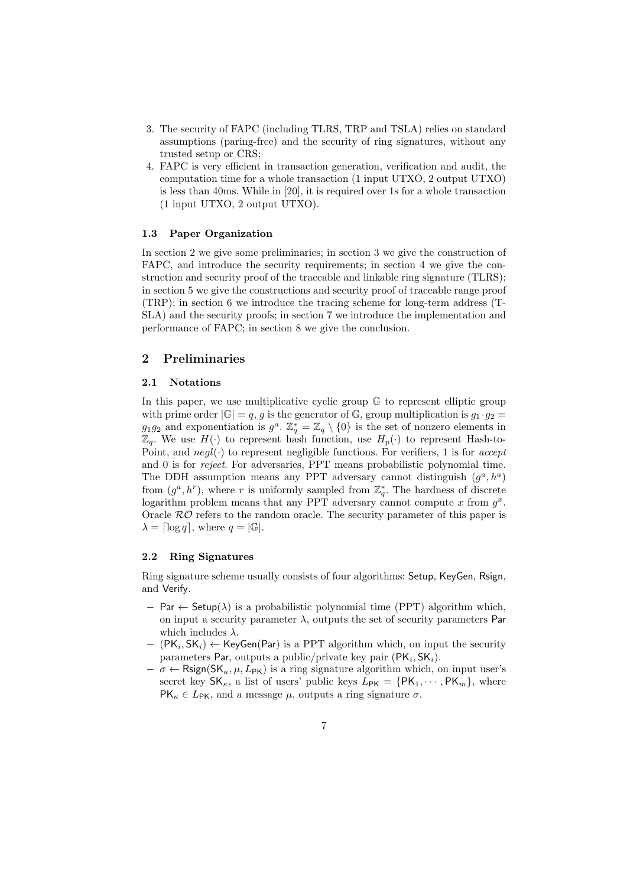- 3. The security of FAPC (including TLRS, TRP and TSLA) relies on standard assumptions (paring-free) and the security of ring signatures, without any trusted setup or CRS;
- 4. FAPC is very efficient in transaction generation, verification and audit, the computation time for a whole transaction (1 input UTXO, 2 output UTXO) is less than 40ms. While in [20], it is required over 1s for a whole transaction (1 input UTXO, 2 output UTXO).

# **1.3 Paper Organization**

In section 2 we give some preliminaries; in section 3 we give the construction of FAPC, and introduce the security requirements; in section 4 we give the construction and security proof of the traceable and linkable ring signature (TLRS); in section 5 we give the constructions and security proof of traceable range proof (TRP); in section 6 we introduce the tracing scheme for long-term address (T-SLA) and the security proofs; in section 7 we introduce the implementation and performance of FAPC; in section 8 we give the conclusion.

# **2 Preliminaries**

#### **2.1 Notations**

In this paper, we use multiplicative cyclic group G to represent elliptic group with prime order  $|\mathbb{G}| = q$ , *g* is the generator of  $\mathbb{G}$ , group multiplication is  $g_1 \cdot g_2 =$ *g*<sub>1</sub>*g*<sub>2</sub> and exponentiation is  $g^a$ .  $\mathbb{Z}_q^* = \mathbb{Z}_q \setminus \{0\}$  is the set of nonzero elements in  $\mathbb{Z}_q$ . We use  $H(\cdot)$  to represent hash function, use  $H_p(\cdot)$  to represent Hash-to-Point, and  $negl(\cdot)$  to represent negligible functions. For verifiers, 1 is for *accept* and 0 is for *reject*. For adversaries, PPT means probabilistic polynomial time. The DDH assumption means any PPT adversary cannot distinguish  $(g^a, h^a)$ from  $(g^a, h^r)$ , where *r* is uniformly sampled from  $\mathbb{Z}_q^*$ . The hardness of discrete logarithm problem means that any PPT adversary cannot compute  $x$  from  $g^x$ . Oracle *RO* refers to the random oracle. The security parameter of this paper is  $\lambda = \lceil \log q \rceil$ , where  $q = |\mathbb{G}|$ .

### **2.2 Ring Signatures**

Ring signature scheme usually consists of four algorithms: Setup, KeyGen, Rsign, and Verify.

- *−* Par *←* Setup(*λ*) is a probabilistic polynomial time (PPT) algorithm which, on input a security parameter  $\lambda$ , outputs the set of security parameters Par which includes *λ*.
- *−* (PK*<sup>i</sup> ,* SK*i*) *←* KeyGen(Par) is a PPT algorithm which, on input the security parameters Par, outputs a public/private key pair (PK*<sup>i</sup> ,* SK*i*).
- *− σ ←* Rsign(SK*κ, µ, L*PK) is a ring signature algorithm which, on input user's secret key  $SK_{\kappa}$ , a list of users' public keys  $L_{PK} = \{PK_1, \dots, PK_m\}$ , where  $PK_{\kappa} \in L_{PK}$ , and a message  $\mu$ , outputs a ring signature  $\sigma$ .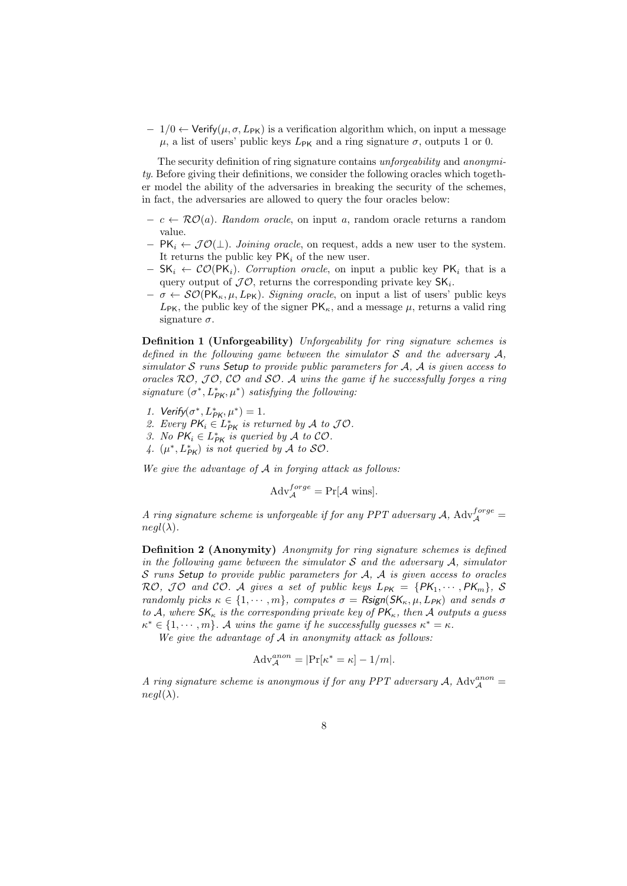*−* 1/0  $\leftarrow$  Verify(*μ, σ, L*<sub>PK</sub>) is a verification algorithm which, on input a message  $\mu$ , a list of users' public keys  $L_{\text{PK}}$  and a ring signature *σ*, outputs 1 or 0.

The security definition of ring signature contains *unforgeability* and *anonymity*. Before giving their definitions, we consider the following oracles which together model the ability of the adversaries in breaking the security of the schemes, in fact, the adversaries are allowed to query the four oracles below:

- *− c ← RO*(*a*). *Random oracle*, on input *a*, random oracle returns a random value.
- *−* PK*<sup>i</sup> ← J O*(*⊥*). *Joining oracle*, on request, adds a new user to the system. It returns the public key PK*<sup>i</sup>* of the new user.
- *−* SK*<sup>i</sup> ← CO*(PK*i*). *Corruption oracle*, on input a public key PK*<sup>i</sup>* that is a query output of  $\mathcal{JO}$ , returns the corresponding private key  $\mathsf{SK}_i$ .
- $σ ← \mathcal{SO}(PK_{\kappa}, \mu, L_{PK})$ . *Signing oracle*, on input a list of users' public keys  $L_{\text{PK}}$ , the public key of the signer  $\text{PK}_\kappa$ , and a message  $\mu$ , returns a valid ring signature *σ*.

**Definition 1 (Unforgeability)** *Unforgeability for ring signature schemes is defined in the following game between the simulator S and the adversary A, simulator S runs Setup to provide public parameters for A, A is given access to oracles RO, J O, CO and SO. A wins the game if he successfully forges a ring signature*  $(\sigma^*, L^*_{PK}, \mu^*)$  *satisfying the following:* 

- *1. Verify*( $\sigma^*$ ,  $L_{PK}^*$ ,  $\mu^*$ ) = 1.
- 2. Every  $PK_i \in L_{PK}^*$  is returned by  $\mathcal A$  to  $\mathcal J \mathcal O$ .
- *3. No*  $PK_i \in L_{PK}^*$  *is queried by A to*  $CO$ *.*
- *4.*  $(\mu^*, L_{\text{PK}}^*)$  *is not queried by A to SO.*

*We give the advantage of A in forging attack as follows:*

$$
Adv_{\mathcal{A}}^{forge} = Pr[\mathcal{A} \text{ wins}].
$$

*A* ring signature scheme is unforgeable if for any PPT adversary  $A$ ,  $\text{Adv}_{\mathcal{A}}^{fore} =$  $negl(\lambda)$ .

**Definition 2 (Anonymity)** *Anonymity for ring signature schemes is defined in the following game between the simulator S and the adversary A, simulator S runs Setup to provide public parameters for A, A is given access to oracles RO,*  $JO$  and  $CO$ *. A* gives a set of public keys  $L_{PK} = {PK_1, \cdots, PK_m}$ , *S randomly picks*  $\kappa \in \{1, \dots, m\}$ *, computes*  $\sigma = \text{Rsign}(SK_{\kappa}, \mu, L_{\text{PK}})$  *and sends*  $\sigma$ *to A, where*  $SK_{\kappa}$  *is the corresponding private key of*  $PK_{\kappa}$ *, then A outputs a guess*  $\kappa^* \in \{1, \dots, m\}$ *. A wins the game if he successfully guesses*  $\kappa^* = \kappa$ *.* 

*We give the advantage of A in anonymity attack as follows:*

$$
Adv_{\mathcal{A}}^{anon} = |\Pr[\kappa^* = \kappa] - 1/m|.
$$

*A* ring signature scheme is anonymous if for any PPT adversary  $A$ ,  $Adv_{\mathcal{A}}^{anon}$  =  $neql(\lambda)$ .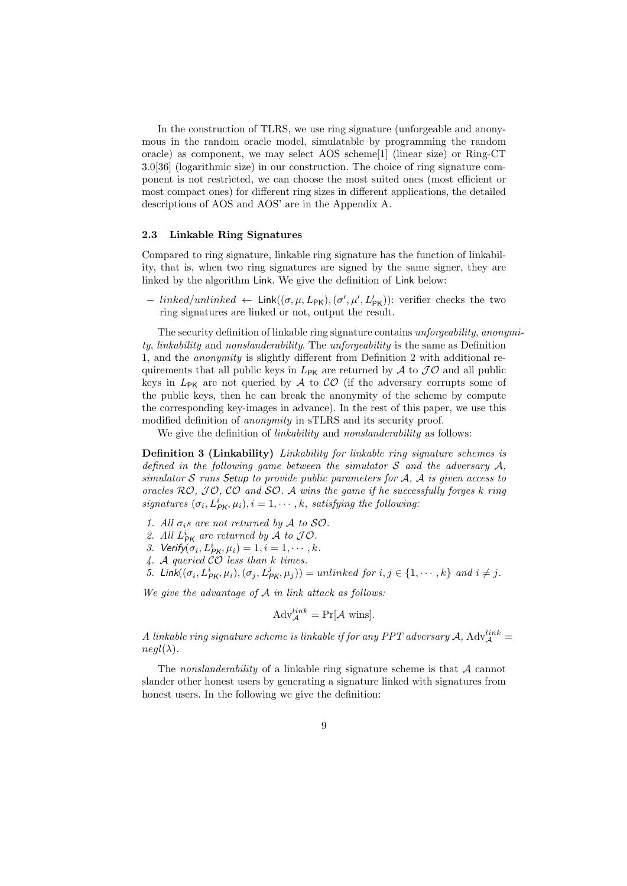In the construction of TLRS, we use ring signature (unforgeable and anonymous in the random oracle model, simulatable by programming the random oracle) as component, we may select AOS scheme[1] (linear size) or Ring-CT 3.0[36] (logarithmic size) in our construction. The choice of ring signature component is not restricted, we can choose the most suited ones (most efficient or most compact ones) for different ring sizes in different applications, the detailed descriptions of AOS and AOS' are in the Appendix A.

## **2.3 Linkable Ring Signatures**

Compared to ring signature, linkable ring signature has the function of linkability, that is, when two ring signatures are signed by the same signer, they are linked by the algorithm Link. We give the definition of Link below:

*− linked/unlinked* ← Link((*σ*, *μ*, *L*<sub>PK</sub>),(*σ'*, *μ'*, *L*<sub>PK</sub>)): verifier checks the two ring signatures are linked or not, output the result.

The security definition of linkable ring signature contains *unforgeability*, *anonymity*, *linkability* and *nonslanderability*. The *unforgeability* is the same as Definition 1, and the *anonymity* is slightly different from Definition 2 with additional requirements that all public keys in  $L_{PK}$  are returned by A to  $J\mathcal{O}$  and all public keys in  $L_{\text{PK}}$  are not queried by A to  $\mathcal{CO}$  (if the adversary corrupts some of the public keys, then he can break the anonymity of the scheme by compute the corresponding key-images in advance). In the rest of this paper, we use this modified definition of *anonymity* in sTLRS and its security proof.

We give the definition of *linkability* and *nonslanderability* as follows:

**Definition 3 (Linkability)** *Linkability for linkable ring signature schemes is defined in the following game between the simulator S and the adversary A, simulator S runs Setup to provide public parameters for A, A is given access to oracles RO, J O, CO and SO. A wins the game if he successfully forges k ring signatures*  $(\sigma_i, L_{PK}^i, \mu_i), i = 1, \dots, k$ , satisfying the following:

- *1. All*  $\sigma_i$ *s* are not returned by A to  $SO$ .
- 2. All  $L_{\textit{PK}}^i$  are returned by A to  $\mathcal{J}\mathcal{O}$ .
- *3. Verify*( $\sigma_i$ ,  $L_{PK}^i$ ,  $\mu_i$ ) = 1,  $i = 1, \dots, k$ .
- *4. A queried CO less than k times.*
- 5. Link $((\sigma_i, L_{PK}^i, \mu_i), (\sigma_j, L_{PK}^j, \mu_j)) = \text{unlinked for } i, j \in \{1, \cdots, k\} \text{ and } i \neq j.$

*We give the advantage of A in link attack as follows:*

$$
Adv_{\mathcal{A}}^{link} = \Pr[\mathcal{A} \text{ wins}].
$$

*A linkable ring signature scheme is linkable if for any PPT adversary*  $A$ ,  $Adv_{\mathcal{A}}^{link} =$  $negl(\lambda)$ *.* 

The *nonslanderability* of a linkable ring signature scheme is that *A* cannot slander other honest users by generating a signature linked with signatures from honest users. In the following we give the definition: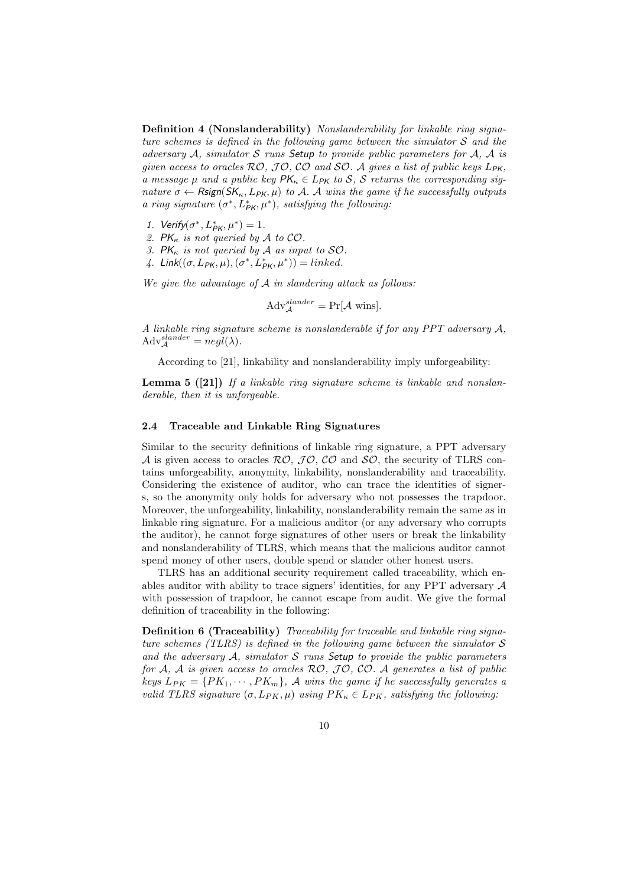**Definition 4 (Nonslanderability)** *Nonslanderability for linkable ring signature schemes is defined in the following game between the simulator S and the adversary A, simulator S runs Setup to provide public parameters for A, A is given access to oracles RO, J O, CO and SO. A gives a list of public keys LPK, a* message  $\mu$  and a public key  $PK_{\kappa} \in L_{PK}$  to S, S returns the corresponding sig*nature*  $\sigma \leftarrow$  *Rsign*( $SK_{\kappa}, L_{PK}, \mu$ ) *to*  $\mathcal{A}$ *.*  $\mathcal{A}$  *wins the game if he successfully outputs a* ring signature  $(\sigma^*, L_{\text{PK}}^*, \mu^*)$ , satisfying the following:

- *1. Verify*( $\sigma^*$ ,  $L_{PK}^*$ ,  $\mu^*$ ) = 1.
- 2.  $PK_{\kappa}$  *is not queried by A to*  $CO$ *.*
- *3. PK<sup>κ</sup> is not queried by A as input to SO.*
- $4.$  *Link***((** $\sigma$ **,**  $L_{PK}$ **,**  $\mu$ **), (** $\sigma^*$ **,**  $L_{PK}^*$ **,**  $\mu^*$ **)) =** *linked***.**

*We give the advantage of A in slandering attack as follows:*

$$
Adv_{\mathcal{A}}^{slander} = \Pr[\mathcal{A} \text{ wins}].
$$

*A linkable ring signature scheme is nonslanderable if for any PPT adversary A,*  $\text{Adv}_{\mathcal{A}}^{slander} = negl(\lambda).$ 

According to [21], linkability and nonslanderability imply unforgeability:

**Lemma 5 ([21])** *If a linkable ring signature scheme is linkable and nonslanderable, then it is unforgeable.*

#### **2.4 Traceable and Linkable Ring Signatures**

Similar to the security definitions of linkable ring signature, a PPT adversary *A* is given access to oracles  $RO$ ,  $IO$ ,  $CO$  and  $SO$ , the security of TLRS contains unforgeability, anonymity, linkability, nonslanderability and traceability. Considering the existence of auditor, who can trace the identities of signers, so the anonymity only holds for adversary who not possesses the trapdoor. Moreover, the unforgeability, linkability, nonslanderability remain the same as in linkable ring signature. For a malicious auditor (or any adversary who corrupts the auditor), he cannot forge signatures of other users or break the linkability and nonslanderability of TLRS, which means that the malicious auditor cannot spend money of other users, double spend or slander other honest users.

TLRS has an additional security requirement called traceability, which enables auditor with ability to trace signers' identities, for any PPT adversary *A* with possession of trapdoor, he cannot escape from audit. We give the formal definition of traceability in the following:

**Definition 6 (Traceability)** *Traceability for traceable and linkable ring signature schemes (TLRS) is defined in the following game between the simulator S and the adversary A, simulator S runs Setup to provide the public parameters for A, A is given access to oracles RO, J O, CO. A generates a list of public keys*  $L_{PK} = \{PK_1, \dots, PK_m\}$ , A wins the game if he successfully generates a *valid TLRS signature*  $(\sigma, L_{PK}, \mu)$  *using*  $PK_{\kappa} \in L_{PK}$ *, satisfying the following:*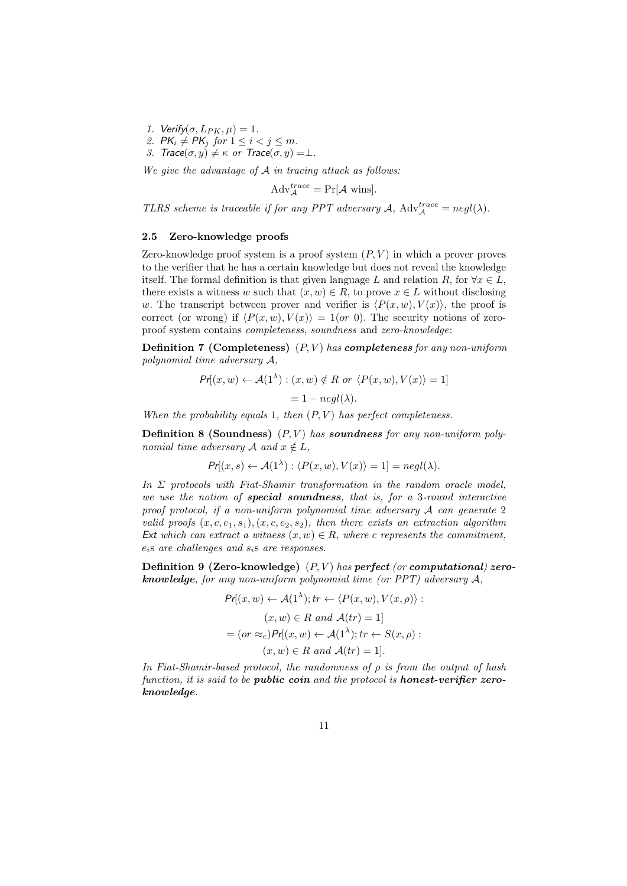- *1. Verify*( $\sigma$ *,*  $L_{PK}$ *,*  $\mu$ ) = 1*.*
- 2.  $PK_i \neq PK_j$  for  $1 \leq i < j \leq m$ .
- *3. Trace*( $\sigma$ ,  $y$ )  $\neq$  *κ or Trace*( $\sigma$ ,  $y$ ) = ⊥*.*

*We give the advantage of A in tracing attack as follows:*

$$
Adv_{\mathcal{A}}^{trace} = \Pr[\mathcal{A} \text{ wins}].
$$

*TLRS scheme is traceable if for any PPT adversary A*,  $Adv_{\mathcal{A}}^{trace} = negl(\lambda)$ *.* 

# **2.5 Zero-knowledge proofs**

Zero-knowledge proof system is a proof system  $(P, V)$  in which a prover proves to the verifier that he has a certain knowledge but does not reveal the knowledge itself. The formal definition is that given language *L* and relation  $R$ , for  $\forall x \in L$ , there exists a witness *w* such that  $(x, w) \in R$ , to prove  $x \in L$  without disclosing *w*. The transcript between prover and verifier is  $\langle P(x, w), V(x) \rangle$ , the proof is correct (or wrong) if  $\langle P(x, w), V(x) \rangle = 1$  *(or* 0). The security notions of zeroproof system contains *completeness*, *soundness* and *zero-knowledge*:

**Definition 7 (Completeness)** (*P, V* ) *has completeness for any non-uniform polynomial time adversary A,*

$$
Pr[(x, w) \leftarrow \mathcal{A}(1^{\lambda}) : (x, w) \notin R \text{ or } \langle P(x, w), V(x) \rangle = 1]
$$
  
= 1 - negl(\lambda).

*When the probability equals* 1*, then* (*P, V* ) *has perfect completeness.*

**Definition 8 (Soundness)** (*P, V* ) *has soundness for any non-uniform polynomial time adversary A and*  $x \notin L$ *,* 

$$
Pr[(x, s) \leftarrow \mathcal{A}(1^{\lambda}) : \langle P(x, w), V(x) \rangle = 1] = negl(\lambda).
$$

*In Σ protocols with Fiat-Shamir transformation in the random oracle model, we use the notion of special soundness, that is, for a* 3*-round interactive proof protocol, if a non-uniform polynomial time adversary A can generate* 2 *valid proofs*  $(x, c, e_1, s_1), (x, c, e_2, s_2)$ *, then there exists an extraction algorithm Ext* which can extract a witness  $(x, w) \in R$ *, where c represents the commitment, ei*s *are challenges and si*s *are responses.*

**Definition 9 (Zero-knowledge)** (*P, V* ) *has perfect (or computational) zeroknowledge, for any non-uniform polynomial time (or PPT) adversary A,*

$$
Pr[(x, w) \leftarrow A(1^{\lambda}); tr \leftarrow \langle P(x, w), V(x, \rho) \rangle :
$$
  

$$
(x, w) \in R \text{ and } A(tr) = 1]
$$
  

$$
= (or \approx_c) Pr[(x, w) \leftarrow A(1^{\lambda}); tr \leftarrow S(x, \rho) :
$$
  

$$
(x, w) \in R \text{ and } A(tr) = 1].
$$

*In Fiat-Shamir-based protocol, the randomness of ρ is from the output of hash function, it is said to be public coin and the protocol is honest-verifier zeroknowledge.*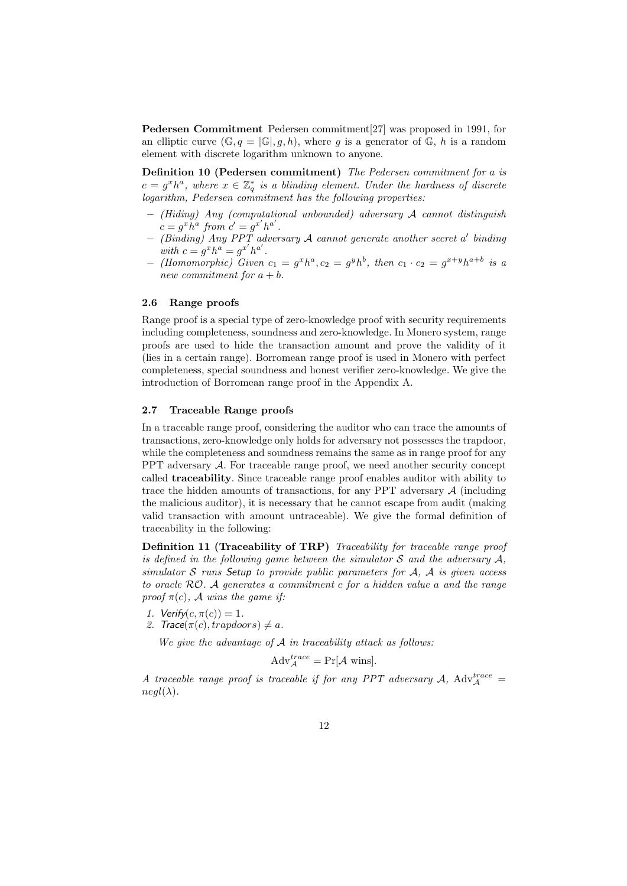**Pedersen Commitment** Pedersen commitment[27] was proposed in 1991, for an elliptic curve  $(\mathbb{G}, q = |\mathbb{G}|, q, h)$ , where g is a generator of  $\mathbb{G}, h$  is a random element with discrete logarithm unknown to anyone.

**Definition 10 (Pedersen commitment)** *The Pedersen commitment for a is*  $c = g^x h^a$ , where  $x \in \mathbb{Z}_q^*$  is a blinding element. Under the hardness of discrete *logarithm, Pedersen commitment has the following properties:*

- *− (Hiding) Any (computational unbounded) adversary A cannot distinguish*  $c = g^x h^a$  from  $c' = g^{x'} h^{a'}$ .
- *− (Binding) Any PPT adversary A cannot generate another secret a ′ binding with*  $c = g^x h^a = g^{x'} h^{a'}$ .
- (Homomorphic) Given  $c_1 = g^x h^a$ ,  $c_2 = g^y h^b$ , then  $c_1 \cdot c_2 = g^{x+y} h^{a+b}$  is a *new commitment for*  $a + b$ .

# **2.6 Range proofs**

Range proof is a special type of zero-knowledge proof with security requirements including completeness, soundness and zero-knowledge. In Monero system, range proofs are used to hide the transaction amount and prove the validity of it (lies in a certain range). Borromean range proof is used in Monero with perfect completeness, special soundness and honest verifier zero-knowledge. We give the introduction of Borromean range proof in the Appendix A.

# **2.7 Traceable Range proofs**

In a traceable range proof, considering the auditor who can trace the amounts of transactions, zero-knowledge only holds for adversary not possesses the trapdoor, while the completeness and soundness remains the same as in range proof for any PPT adversary *A*. For traceable range proof, we need another security concept called **traceability**. Since traceable range proof enables auditor with ability to trace the hidden amounts of transactions, for any PPT adversary *A* (including the malicious auditor), it is necessary that he cannot escape from audit (making valid transaction with amount untraceable). We give the formal definition of traceability in the following:

**Definition 11 (Traceability of TRP)** *Traceability for traceable range proof is defined in the following game between the simulator*  $S$  *and the adversary*  $A$ *, simulator S runs Setup to provide public parameters for A, A is given access to oracle RO. A generates a commitment c for a hidden value a and the range proof*  $\pi(c)$ *, A wins the game if:* 

- *1. Verify*( $c, \pi(c)$ ) = 1.
- 2. **Trace**( $\pi(c)$ , trapdoors)  $\neq a$ .

*We give the advantage of A in traceability attack as follows:*

$$
Adv_{\mathcal{A}}^{trace} = \Pr[\mathcal{A} \text{ wins}].
$$

*A* traceable range proof is traceable if for any PPT adversary  $A$ ,  $Adv_{A}^{trace} =$  $negl(\lambda)$ *.*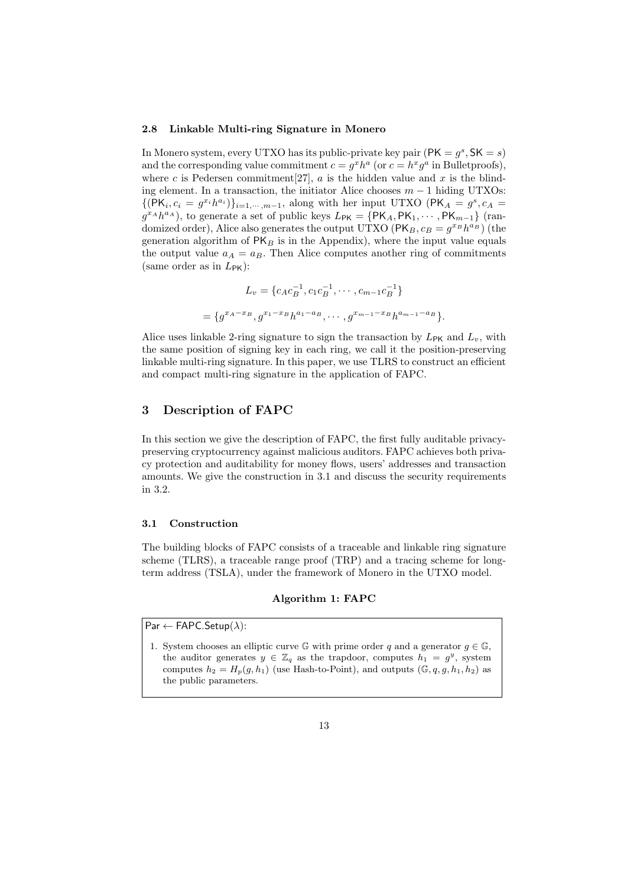#### **2.8 Linkable Multi-ring Signature in Monero**

In Monero system, every UTXO has its public-private key pair  $(PK = g^s, SK = s)$ and the corresponding value commitment  $c = g^x h^a$  (or  $c = h^x g^a$  in Bulletproofs), where  $c$  is Pedersen commitment<sup>[27]</sup>,  $a$  is the hidden value and  $x$  is the blinding element. In a transaction, the initiator Alice chooses *m −* 1 hiding UTXOs:  $\{(\mathsf{PK}_i, c_i = g^{x_i}h^{a_i})\}_{i=1,\dots,m-1}$ , along with her input UTXO (PK<sub>A</sub> =  $g^s$ ,  $c_A$  =  $g^{xA}h^{a_A}$ ), to generate a set of public keys  $L_{PK} = {PK_A, PK_A, \cdots, PK_{m-1}}$  (randomized order), Alice also generates the output UTXO ( $\mathsf{PK}_B$ *,*  $c_B = g^{x_B}h^{a_B}$ ) (the generation algorithm of  $PK_B$  is in the Appendix), where the input value equals the output value  $a_A = a_B$ . Then Alice computes another ring of commitments (same order as in  $L_{\text{PK}}$ ):

$$
L_v = \{c_A c_B^{-1}, c_1 c_B^{-1}, \cdots, c_{m-1} c_B^{-1}\}
$$
  
=  $\{g^{x_A - x_B}, g^{x_1 - x_B} h^{a_1 - a_B}, \cdots, g^{x_{m-1} - x_B} h^{a_{m-1} - a_B}\}.$ 

Alice uses linkable 2-ring signature to sign the transaction by  $L_{\text{PK}}$  and  $L_v$ , with the same position of signing key in each ring, we call it the position-preserving linkable multi-ring signature. In this paper, we use TLRS to construct an efficient and compact multi-ring signature in the application of FAPC.

# **3 Description of FAPC**

In this section we give the description of FAPC, the first fully auditable privacypreserving cryptocurrency against malicious auditors. FAPC achieves both privacy protection and auditability for money flows, users' addresses and transaction amounts. We give the construction in 3.1 and discuss the security requirements in 3.2.

### **3.1 Construction**

The building blocks of FAPC consists of a traceable and linkable ring signature scheme (TLRS), a traceable range proof (TRP) and a tracing scheme for longterm address (TSLA), under the framework of Monero in the UTXO model.

#### **Algorithm 1: FAPC**

Par *←* FAPC.Setup(*λ*):

1. System chooses an elliptic curve  $\mathbb{G}$  with prime order *q* and a generator  $g \in \mathbb{G}$ , the auditor generates  $y \in \mathbb{Z}_q$  as the trapdoor, computes  $h_1 = g^y$ , system computes  $h_2 = H_p(g, h_1)$  (use Hash-to-Point), and outputs  $(\mathbb{G}, q, g, h_1, h_2)$  as the public parameters.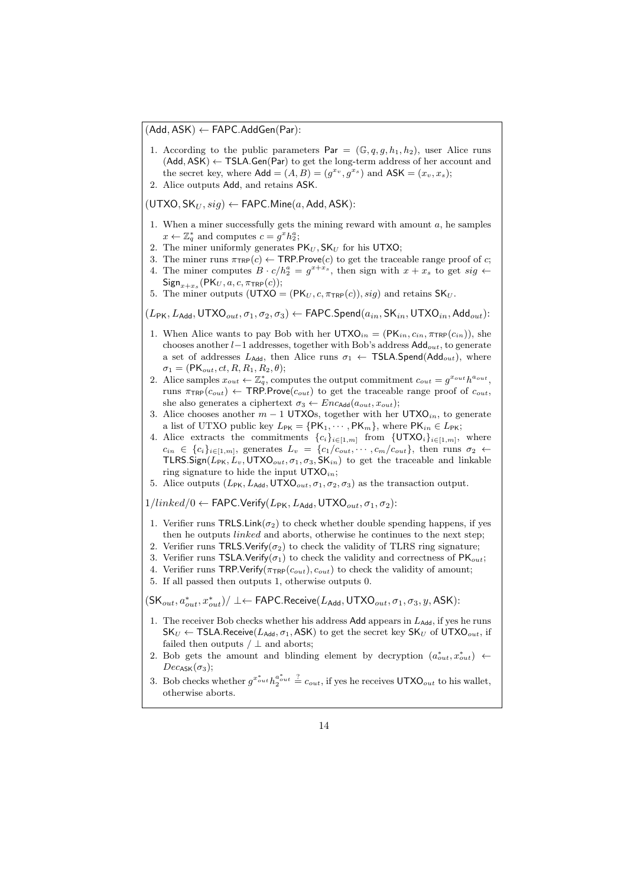(Add*,* ASK) *←* FAPC.AddGen(Par):

- 1. According to the public parameters  $\text{Par} = (\mathbb{G}, q, g, h_1, h_2)$ , user Alice runs (Add*,* ASK) *←* TSLA.Gen(Par) to get the long-term address of her account and the secret key, where  $\mathsf{Add} = (A, B) = (g^{x_v}, g^{x_s})$  and  $\mathsf{ASK} = (x_v, x_s)$ ;
- 2. Alice outputs Add, and retains ASK.

 $(UTXO, SK<sub>U</sub>, sig) \leftarrow FAPC.Mine(a, Add, ASK):$ 

- 1. When a miner successfully gets the mining reward with amount *a*, he samples  $x \leftarrow \mathbb{Z}_q^*$  and computes  $c = g^x h_2^a$ ;
- 2. The miner uniformly generates  $PK_U$ ,  $SK_U$  for his UTXO;
- 3. The miner runs  $\pi_{TRP}(c) \leftarrow \text{TRP.Prove}(c)$  to get the traceable range proof of *c*;
- 4. The miner computes  $B \cdot c/h_2^a = g^{x+x_s}$ , then sign with  $x + x_s$  to get  $sig \leftarrow$  $\mathsf{Sign}_{x+x_s}(\mathsf{PK}_U, a, c, \pi_{\mathsf{TRP}}(c));$
- 5. The miner outputs  $(UTXO = (PK<sub>U</sub>, c, \pi_{TRP}(c)), sig)$  and retains  $SK<sub>U</sub>$ .

 $(L_{PK}, L_{Add}, \text{UTXO}_{out}, \sigma_1, \sigma_2, \sigma_3) \leftarrow \text{FAPC.Spend}(a_{in}, \text{SK}_{in}, \text{UTXO}_{in}, \text{Add}_{out})$ :

- 1. When Alice wants to pay Bob with her  $UTXO_{in} = (PK_{in}, c_{in}, \pi_{TRP}(c_{in}))$ , she chooses another *l−*1 addresses, together with Bob's address Add*out*, to generate a set of addresses  $L_{\text{Add}}$ , then Alice runs  $\sigma_1 \leftarrow \text{TSLA.Spend}(\text{Add}_{out})$ , where  $\sigma_1 = (\text{PK}_{out}, ct, R, R_1, R_2, \theta);$
- 2. Alice samples  $x_{out} \leftarrow \mathbb{Z}_q^*$ , computes the output commitment  $c_{out} = g^{x_{out}} h^{a_{out}}$ , runs  $\pi_{TRP}(c_{out}) \leftarrow TRP.Prove(c_{out})$  to get the traceable range proof of  $c_{out}$ , she also generates a ciphertext  $\sigma_3 \leftarrow Enc_{\text{Add}}(a_{out}, x_{out});$
- 3. Alice chooses another *m −* 1 UTXOs, together with her UTXO*in*, to generate a list of UTXO public key  $L_{PK} = \{PK_1, \dots, PK_m\}$ , where  $PK_{in} \in L_{PK}$ ;
- 4. Alice extracts the commitments  $\{c_i\}_{i\in[1,m]}$  from  $\{\text{UTXO}_i\}_{i\in[1,m]}$ , where  $c_{in} \in \{c_i\}_{i \in [1,m]},$  generates  $L_v = \{c_1/c_{out}, \cdots, c_m/c_{out}\}\$ , then runs  $\sigma_2 \leftarrow$ TLRS.Sign( $L_{PK}$ ,  $L_v$ , UTXO<sub>*out*</sub>,  $\sigma_1$ ,  $\sigma_3$ , SK<sub>in</sub>) to get the traceable and linkable ring signature to hide the input UTXO*in*;
- 5. Alice outputs  $(L_{\text{PK}}, L_{\text{Add}}, \text{UTXO}_{out}, \sigma_1, \sigma_2, \sigma_3)$  as the transaction output.

 $1/linked/0 \leftarrow \text{FAPC}.\text{Verify}(L_{\text{PK}}, L_{\text{Add}}, \text{UTXO}_{out}, \sigma_1, \sigma_2)$ :

- 1. Verifier runs  $TRLS.Link(\sigma_2)$  to check whether double spending happens, if yes then he outputs *linked* and aborts, otherwise he continues to the next step;
- 2. Verifier runs TRLS.Verify( $\sigma_2$ ) to check the validity of TLRS ring signature;
- 3. Verifier runs TSLA.Verify( $\sigma_1$ ) to check the validity and correctness of PK<sub>out</sub>;
- 4. Verifier runs  $TRP\cdot Verify(\pi_{TRP}(c_{out}), c_{out})$  to check the validity of amount;
- 5. If all passed then outputs 1, otherwise outputs 0.

 $(\mathsf{SK}_\mathit{out}, a^*_\mathit{out}, x^*_\mathit{out}) / \perp \leftarrow \mathsf{FAPC}.\mathsf{Receive}(L_\mathsf{Add}, \mathsf{UTXO}_\mathit{out}, \sigma_1, \sigma_3, y, \mathsf{ASK})$ :

- 1. The receiver Bob checks whether his address Add appears in  $L_{\text{Add}}$ , if yes he runs  $SK_U \leftarrow \text{TSLA}$ . Receive( $L_{\text{Add}}, \sigma_1$ , ASK) to get the secret key  $SK_U$  of  $UTXO_{out}$ , if failed then outputs */ ⊥* and aborts;
- 2. Bob gets the amount and blinding element by decryption  $(a_{out}^*, x_{out}^*) \leftarrow$  $Dec_{ASK}(\sigma_3);$
- 3. Bob checks whether  $g^{x_{out}^*}h_2^{a_{out}^*} \stackrel{?}{=} c_{out}$ , if yes he receives UTXO<sub>*out*</sub> to his wallet, otherwise aborts.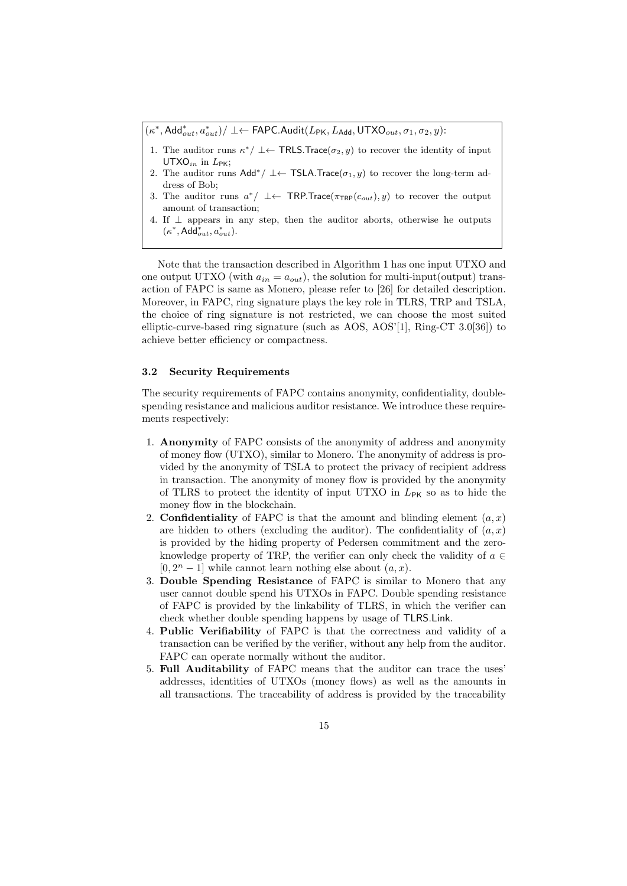$(\kappa^*, \mathsf{Add}^*_{out}, a^*_{out})/\perp \leftarrow \mathsf{FAPC}.\mathsf{Audit}(L_{\mathsf{PK}},L_{\mathsf{Add}},\mathsf{UTXO}_{out},\sigma_1,\sigma_2,y)$ :

- 1. The auditor runs  $\kappa^* / \perp \leftarrow \text{TRLS}$ . Trace( $\sigma_2, y$ ) to recover the identity of input UTXO $_{in}$  in  $L_{PK}$ ;
- 2. The auditor runs  $\mathsf{Add}^*/ \perp \leftarrow \mathsf{TSLA}.\mathsf{Trace}(\sigma_1,y)$  to recover the long-term address of Bob;
- 3. The auditor runs *a ∗ / ⊥←* TRP.Trace(*π*TRP(*cout*)*, y*) to recover the output amount of transaction;
- 4. If *⊥* appears in any step, then the auditor aborts, otherwise he outputs  $(\kappa^*, \mathsf{Add}^*_{out}, a^*_{out}).$

Note that the transaction described in Algorithm 1 has one input UTXO and one output UTXO (with  $a_{in} = a_{out}$ ), the solution for multi-input(output) transaction of FAPC is same as Monero, please refer to [26] for detailed description. Moreover, in FAPC, ring signature plays the key role in TLRS, TRP and TSLA, the choice of ring signature is not restricted, we can choose the most suited elliptic-curve-based ring signature (such as AOS, AOS'[1], Ring-CT 3.0[36]) to achieve better efficiency or compactness.

# **3.2 Security Requirements**

The security requirements of FAPC contains anonymity, confidentiality, doublespending resistance and malicious auditor resistance. We introduce these requirements respectively:

- 1. **Anonymity** of FAPC consists of the anonymity of address and anonymity of money flow (UTXO), similar to Monero. The anonymity of address is provided by the anonymity of TSLA to protect the privacy of recipient address in transaction. The anonymity of money flow is provided by the anonymity of TLRS to protect the identity of input UTXO in *L*PK so as to hide the money flow in the blockchain.
- 2. **Confidentiality** of FAPC is that the amount and blinding element  $(a, x)$ are hidden to others (excluding the auditor). The confidentiality of  $(a, x)$ is provided by the hiding property of Pedersen commitment and the zeroknowledge property of TRP, the verifier can only check the validity of  $a \in$  $[0, 2<sup>n</sup> - 1]$  while cannot learn nothing else about  $(a, x)$ .
- 3. **Double Spending Resistance** of FAPC is similar to Monero that any user cannot double spend his UTXOs in FAPC. Double spending resistance of FAPC is provided by the linkability of TLRS, in which the verifier can check whether double spending happens by usage of TLRS.Link.
- 4. **Public Verifiability** of FAPC is that the correctness and validity of a transaction can be verified by the verifier, without any help from the auditor. FAPC can operate normally without the auditor.
- 5. **Full Auditability** of FAPC means that the auditor can trace the uses' addresses, identities of UTXOs (money flows) as well as the amounts in all transactions. The traceability of address is provided by the traceability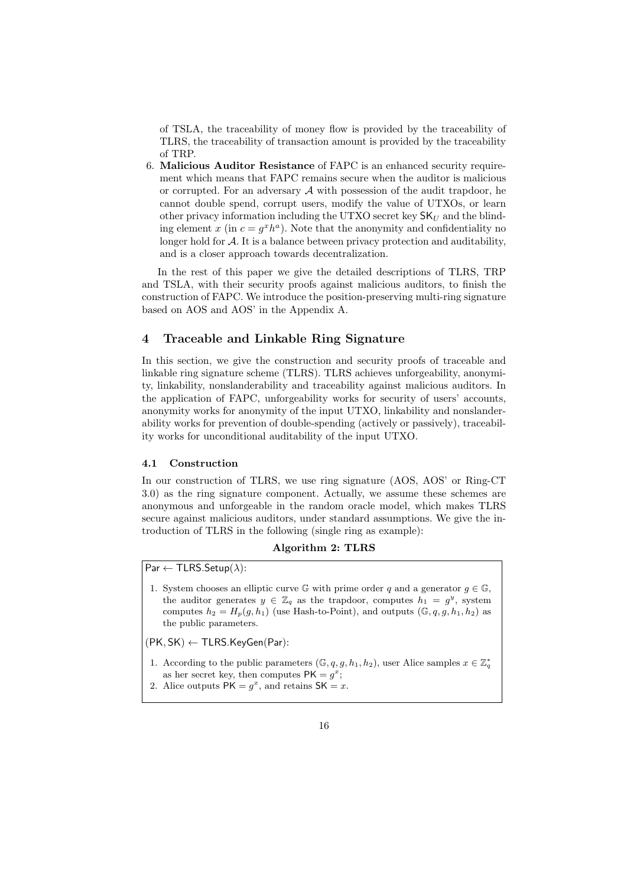of TSLA, the traceability of money flow is provided by the traceability of TLRS, the traceability of transaction amount is provided by the traceability of TRP.

6. **Malicious Auditor Resistance** of FAPC is an enhanced security requirement which means that FAPC remains secure when the auditor is malicious or corrupted. For an adversary *A* with possession of the audit trapdoor, he cannot double spend, corrupt users, modify the value of UTXOs, or learn other privacy information including the UTXO secret key  $\mathsf{SK}_U$  and the blinding element  $x$  (in  $c = g^x h^a$ ). Note that the anonymity and confidentiality no longer hold for A. It is a balance between privacy protection and auditability, and is a closer approach towards decentralization.

In the rest of this paper we give the detailed descriptions of TLRS, TRP and TSLA, with their security proofs against malicious auditors, to finish the construction of FAPC. We introduce the position-preserving multi-ring signature based on AOS and AOS' in the Appendix A.

# **4 Traceable and Linkable Ring Signature**

In this section, we give the construction and security proofs of traceable and linkable ring signature scheme (TLRS). TLRS achieves unforgeability, anonymity, linkability, nonslanderability and traceability against malicious auditors. In the application of FAPC, unforgeability works for security of users' accounts, anonymity works for anonymity of the input UTXO, linkability and nonslanderability works for prevention of double-spending (actively or passively), traceability works for unconditional auditability of the input UTXO.

# **4.1 Construction**

In our construction of TLRS, we use ring signature (AOS, AOS' or Ring-CT 3.0) as the ring signature component. Actually, we assume these schemes are anonymous and unforgeable in the random oracle model, which makes TLRS secure against malicious auditors, under standard assumptions. We give the introduction of TLRS in the following (single ring as example):

## **Algorithm 2: TLRS**

Par *←* TLRS.Setup(*λ*):

1. System chooses an elliptic curve  $\mathbb{G}$  with prime order  $q$  and a generator  $g \in \mathbb{G}$ , the auditor generates  $y \in \mathbb{Z}_q$  as the trapdoor, computes  $h_1 = g^y$ , system computes  $h_2 = H_p(g, h_1)$  (use Hash-to-Point), and outputs  $(\mathbb{G}, q, g, h_1, h_2)$  as the public parameters.

(PK*,* SK) *←* TLRS.KeyGen(Par):

- 1. According to the public parameters  $(\mathbb{G}, q, g, h_1, h_2)$ , user Alice samples  $x \in \mathbb{Z}_q^*$ as her secret key, then computes  $PK = g^x$ ;
- 2. Alice outputs  $PK = g^x$ , and retains  $SK = x$ .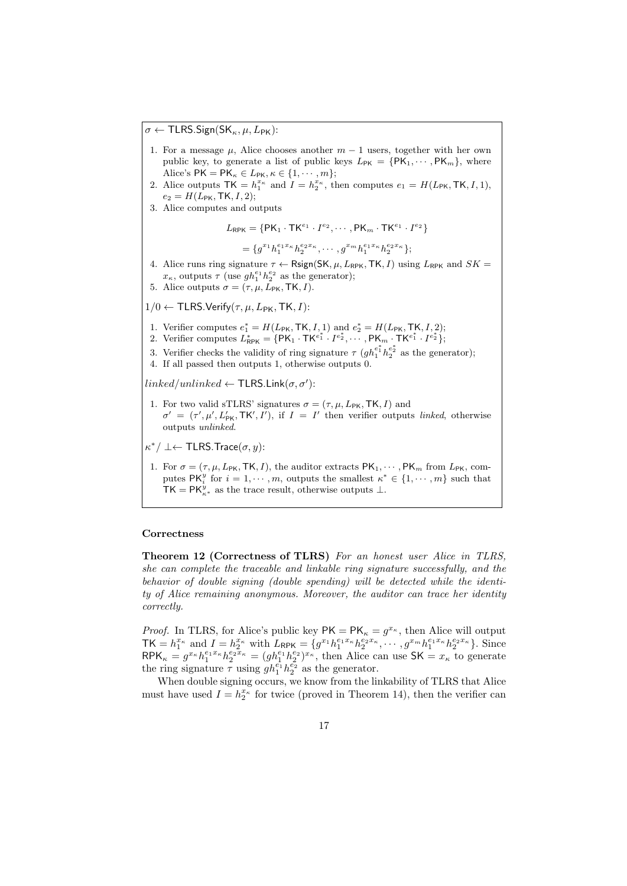$\sigma \leftarrow$  TLRS.Sign(SK<sub>*κ*</sub>,  $\mu$ ,  $L_{\text{PK}}$ ):

- 1. For a message  $\mu$ , Alice chooses another  $m-1$  users, together with her own public key, to generate a list of public keys  $L_{PK} = {PK_1, \dots, PK_m}$ , where Alice's  $PK = PK<sub>\kappa</sub> \in L_{PK}, \kappa \in \{1, \cdots, m\};$
- 2. Alice outputs  $TK = h_1^{x_{\kappa}}$  and  $I = h_2^{x_{\kappa}}$ , then computes  $e_1 = H(L_{\text{PK}}, \text{TK}, I, 1)$ ,  $e_2 = H(L_{\rm PK}, \text{TK}, I, 2);$
- 3. Alice computes and outputs

$$
L_{\mathsf{RPK}} = \{ \mathsf{PK}_1 \cdot \mathsf{TK}^{e_1} \cdot I^{e_2}, \cdots, \mathsf{PK}_m \cdot \mathsf{TK}^{e_1} \cdot I^{e_2} \}
$$

$$
= \{g^{x_1}h_1^{e_1x_{\kappa}}h_2^{e_2x_{\kappa}}, \cdots, g^{x_m}h_1^{e_1x_{\kappa}}h_2^{e_2x_{\kappa}}\};
$$

- 4. Alice runs ring signature  $\tau \leftarrow \mathsf{Rsign}(\mathsf{SK}, \mu, L_{\mathsf{RPK}}, \mathsf{TK}, I)$  using  $L_{\mathsf{RPK}}$  and  $SK =$  $x_{\kappa}$ , outputs  $\tau$  (use  $gh_1^{e_1}h_2^{e_2}$  as the generator);
- 5. Alice outputs  $\sigma = (\tau, \mu, L_{\text{PK}}, \text{TK}, I)$ .

 $1/0$  ← TLRS. Verify $(τ, μ, L_{PK}, TK, I)$ :

- 1. Verifier computes  $e_1^* = H(L_{\text{PK}}, \text{TK}, I, 1)$  and  $e_2^* = H(L_{\text{PK}}, \text{TK}, I, 2)$ ;
- 2. Verifier computes  $L^*_{RPK} = \{PK_1 \cdot TK^{e_1^*} \cdot I^{e_2^*}, \cdots, PK_m \cdot TK^{e_1^*} \cdot I^{e_2^*}\};$
- 3. Verifier checks the validity of ring signature  $\tau$  ( $gh_1^{e_1^*}h_2^{e_2^*}$  as the generator);
- 4. If all passed then outputs 1, otherwise outputs 0.

 $linked/unlinked \leftarrow \mathsf{TLRS.Link}(\sigma, \sigma')$ :

1. For two valid sTLRS' signatures  $\sigma = (\tau, \mu, L_{\text{PK}}, \text{TK}, I)$  and  $\sigma' = (\tau', \mu', L'_{PK}, TK', I')$ , if  $I = I'$  then verifier outputs *linked*, otherwise outputs *unlinked*.

*κ <sup>∗</sup>/ ⊥←* TLRS.Trace(*σ, y*):

1. For  $\sigma = (\tau, \mu, L_{\text{PK}}, \text{TK}, I)$ , the auditor extracts  $\text{PK}_1, \cdots, \text{PK}_m$  from  $L_{\text{PK}}, \text{com-}$ putes  $\mathsf{PK}_{i}^{y}$  for  $i = 1, \dots, m$ , outputs the smallest  $\kappa^* \in \{1, \dots, m\}$  such that  $TK = PK_{\kappa^*}^y$  as the trace result, otherwise outputs  $\perp$ .

### **Correctness**

**Theorem 12 (Correctness of TLRS)** *For an honest user Alice in TLRS, she can complete the traceable and linkable ring signature successfully, and the behavior of double signing (double spending) will be detected while the identity of Alice remaining anonymous. Moreover, the auditor can trace her identity correctly.*

*Proof.* In TLRS, for Alice's public key  $PK = PK<sub>\kappa</sub> = g<sup>x<sub>\kappa</sub></sup>$ , then Alice will output  $\mathsf{TK}=h_1^{x_{\kappa}}$  and  $I=h_2^{x_{\kappa}}$  with  $L_{\mathsf{RPK}}=\{g^{x_1}h_1^{e_1x_{\kappa}}h_2^{e_2x_{\kappa}},\cdots,g^{x_m}h_1^{e_1x_{\kappa}}h_2^{e_2x_{\kappa}}\}$ . Since  $RPK_{\kappa} = g^{x_{\kappa}}h_1^{e_1x_{\kappa}}h_2^{e_2x_{\kappa}} = (gh_1^{e_1}h_2^{e_2})^{x_{\kappa}},$  then Alice can use  $SK = x_{\kappa}$  to generate the ring signature  $\tau$  using  $gh_1^{e_1}h_2^{e_2}$  as the generator.

When double signing occurs, we know from the linkability of TLRS that Alice must have used  $I = h_2^{x_k}$  for twice (proved in Theorem 14), then the verifier can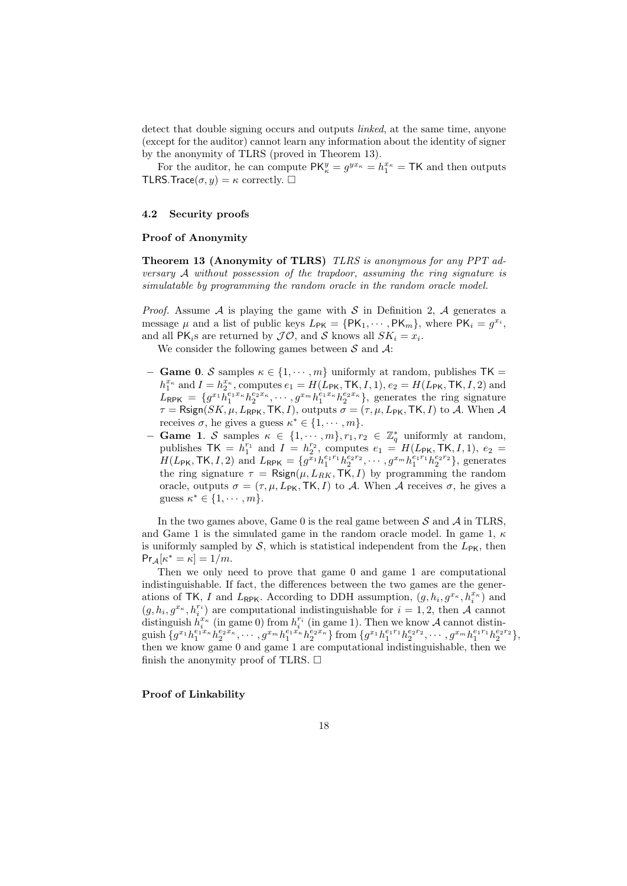detect that double signing occurs and outputs *linked*, at the same time, anyone (except for the auditor) cannot learn any information about the identity of signer by the anonymity of TLRS (proved in Theorem 13).

For the auditor, he can compute  $\mathsf{PK}_{\kappa}^y = g^{yx_{\kappa}} = h_1^{x_{\kappa}} = \mathsf{TK}$  and then outputs TLRS.Trace( $\sigma$ ,  $y$ ) =  $\kappa$  correctly.  $\Box$ 

# **4.2 Security proofs**

# **Proof of Anonymity**

**Theorem 13 (Anonymity of TLRS)** *TLRS is anonymous for any PPT adversary A without possession of the trapdoor, assuming the ring signature is simulatable by programming the random oracle in the random oracle model.*

*Proof.* Assume  $\mathcal A$  is playing the game with  $\mathcal S$  in Definition 2,  $\mathcal A$  generates a message  $\mu$  and a list of public keys  $L_{\text{PK}} = \{ \text{PK}_1, \cdots, \text{PK}_m \}$ , where  $\text{PK}_i = g^{x_i}$ , and all  $PK_i$ s are returned by  $JO$ , and  $S$  knows all  $SK_i = x_i$ .

We consider the following games between *S* and *A*:

- *−* **Game 0**. *S* samples *κ ∈ {*1*, · · · , m}* uniformly at random, publishes TK =  $h_1^{x_{\kappa}}$  and  $I = h_2^{x_{\kappa}}$ , computes  $e_1 = H(L_{\text{PK}}, \text{TK}, I, 1), e_2 = H(L_{\text{PK}}, \text{TK}, I, 2)$  and  $\tilde{L}_{\text{RPK}} = \{g^{x_1} \tilde{h}_1^{e_1 x_{\kappa}} h_2^{e_2 x_{\kappa}}, \cdots, g^{x_m} h_1^{e_1 x_{\kappa}} h_2^{e_2 x_{\kappa}}\},$  generates the ring signature  $\tau =$  Rsign(*SK,*  $\mu$ *, L*<sub>RPK</sub>, **TK***, I*), outputs  $\sigma = (\tau, \mu, L_{\text{PK}}, \text{TK}, I)$  to *A*. When *A* receives  $\sigma$ , he gives a guess  $\kappa^* \in \{1, \cdots, m\}$ .
- *−* **Game 1**. *S* samples  $κ ∈ \{1, \dots, m\}$ ,  $r_1, r_2 ∈ \mathbb{Z}_q^*$  uniformly at random, publishes  $TK = h_1^{r_1}$  and  $I = h_2^{r_2}$ , computes  $e_1 = H(L_{PK}, TK, I, 1), e_2 =$  $H(L_{\text{PK}}, \text{TK}, I, 2)$  and  $L_{\text{RPK}} = \{g^{\bar{x}_1} h_1^{e_1 r_1} h_2^{e_2 r_2}, \cdots, g^{x_m} h_1^{e_1 r_1} h_2^{e_2 r_2}\},$  generates the ring signature  $\tau = \text{Rsign}(\mu, L_{RK}, \text{TK}, I)$  by programming the random oracle, outputs  $\sigma = (\tau, \mu, L_{\text{PK}}, \text{TK}, I)$  to *A*. When *A* receives  $\sigma$ , he gives a guess  $\kappa^* \in \{1, \cdots, m\}.$

In the two games above, Game 0 is the real game between *S* and *A* in TLRS, and Game 1 is the simulated game in the random oracle model. In game 1,  $\kappa$ is uniformly sampled by  $S$ , which is statistical independent from the  $L_{PK}$ , then  $Pr_A[\kappa^* = \kappa] = 1/m$ .

Then we only need to prove that game 0 and game 1 are computational indistinguishable. If fact, the differences between the two games are the generations of TK, *I* and  $L_{RPK}$ . According to DDH assumption,  $(g, h_i, g^{x_{\kappa}}, h_i^{x_{\kappa}})$  and  $(g, h_i, g^{x_{\kappa}}, h_i^{r_i})$  are computational indistinguishable for  $i = 1, 2$ , then *A* cannot distinguish  $h_i^{x_k}$  (in game 0) from  $h_i^{r_i}$  (in game 1). Then we know *A* cannot distinguish  $\{g^{x_1}h_1^{e_1x_k}h_2^{e_2x_k},\cdots,g^{x_m}h_1^{e_1x_k}h_2^{e_2x_k}\}\ \text{from}\ \{g^{x_1}h_1^{e_1r_1}h_2^{e_2r_2},\cdots,g^{x_m}h_1^{e_1r_1}h_2^{e_2r_2}\},$ then we know game 0 and game 1 are computational indistinguishable, then we finish the anonymity proof of TLRS.  $\Box$ 

# **Proof of Linkability**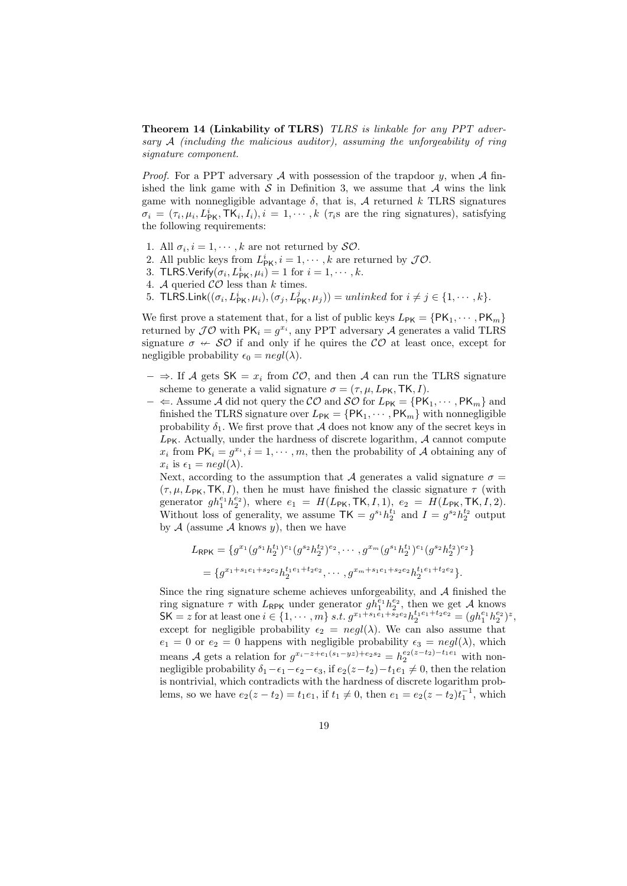**Theorem 14 (Linkability of TLRS)** *TLRS is linkable for any PPT adversary A (including the malicious auditor), assuming the unforgeability of ring signature component.*

*Proof.* For a PPT adversary A with possession of the trapdoor *y*, when A finished the link game with  $S$  in Definition 3, we assume that  $A$  wins the link game with nonnegligible advantage  $\delta$ , that is,  $\mathcal A$  returned  $k$  TLRS signatures  $\sigma_i = (\tau_i, \mu_i, L_{\text{PK}}^i, \text{TK}_i, I_i), i = 1, \cdots, k \text{ (} \tau_i \text{s} \text{ are the ring signatures), satisfying}$ the following requirements:

- 1. All  $\sigma_i$ ,  $i = 1, \dots, k$  are not returned by  $\mathcal{SO}$ .
- 2. All public keys from  $L^i_{\text{PK}}, i = 1, \dots, k$  are returned by  $J\mathcal{O}$ .
- 3. TLRS.Verify $(\sigma_i, L_{\text{PK}}^i, \mu_i) = 1$  for  $i = 1, \dots, k$ .
- 4. *A* queried *CO* less than *k* times.
- 5. TLRS.Link $((\sigma_i, L_{\text{PK}}^i, \mu_i), (\sigma_j, L_{\text{PK}}^j, \mu_j)) = \text{unlinked for } i \neq j \in \{1, \cdots, k\}.$

We first prove a statement that, for a list of public keys  $L_{PK} = \{PK_1, \dots, PK_m\}$ returned by  $\mathcal{J}\mathcal{O}$  with  $\mathsf{PK}_i = g^{x_i}$ , any PPT adversary  $\mathcal{A}$  generates a valid TLRS signature  $\sigma \leftrightarrow \mathcal{SO}$  if and only if he quires the  $\mathcal{CO}$  at least once, except for negligible probability  $\epsilon_0 = negl(\lambda)$ .

- *−*  $\Rightarrow$ . If *A* gets SK = *x<sub>i</sub>* from CO, and then *A* can run the TLRS signature scheme to generate a valid signature  $\sigma = (\tau, \mu, L_{\text{PK}}, \text{TK}, I)$ .
- *−*  $\Leftarrow$  Assume *A* did not query the *CO* and *SO* for  $L_{\text{PK}} = \{ \text{PK}_1, \cdots, \text{PK}_m \}$  and finished the TLRS signature over  $L_{PK} = \{PK_1, \dots, PK_m\}$  with nonnegligible probability  $\delta_1$ . We first prove that *A* does not know any of the secret keys in  $L_{\text{PK}}$ . Actually, under the hardness of discrete logarithm,  $A$  cannot compute  $x_i$  from  $PK_i = g^{x_i}, i = 1, \dots, m$ , then the probability of *A* obtaining any of  $x_i$  is  $\epsilon_1 = negl(\lambda)$ .

Next, according to the assumption that *A* generates a valid signature  $\sigma$  =  $(\tau, \mu, L_{\text{PK}}, \text{TK}, I)$ , then he must have finished the classic signature  $\tau$  (with generator  $gh_1^{e_1}h_2^{e_2}$ , where  $e_1 = H(L_{\text{PK}},\text{TK},I,1), e_2 = H(L_{\text{PK}},\text{TK},I,2).$ Without loss of generality, we assume  $TK = g^{s_1} h_2^{t_1}$  and  $I = g^{s_2} h_2^{t_2}$  output by  $A$  (assume  $A$  knows  $y$ ), then we have

$$
L_{\mathsf{RPK}} = \{g^{x_1}(g^{s_1}h_2^{t_1})^{e_1}(g^{s_2}h_2^{t_2})^{e_2}, \cdots, g^{x_m}(g^{s_1}h_2^{t_1})^{e_1}(g^{s_2}h_2^{t_2})^{e_2}\}
$$
  
= 
$$
\{g^{x_1+s_1e_1+s_2e_2}h_2^{t_1e_1+t_2e_2}, \cdots, g^{x_m+s_1e_1+s_2e_2}h_2^{t_1e_1+t_2e_2}\}.
$$

Since the ring signature scheme achieves unforgeability, and *A* finished the ring signature  $\tau$  with  $L_{RPK}$  under generator  $gh_1^{e_1}h_2^{e_2}$ , then we get A knows SK = z for at least one  $i \in \{1, \dots, m\}$  s.t.  $g^{x_1+s_1\tilde{e}_1+\tilde{s}_2e_2}h_2^{t_1e_1+t_2e_2} = (gh_1^{e_1}h_2^{e_2})^z$ , except for negligible probability  $\epsilon_2$  =  $negl(\lambda)$ . We can also assume that  $e_1 = 0$  or  $e_2 = 0$  happens with negligible probability  $\epsilon_3 = negl(\lambda)$ , which means *A* gets a relation for  $g^{x_i - z + e_1(s_1 - yz) + e_2 s_2} = h_2^{e_2(z - t_2) - t_1 e_1}$  with nonnegligible probability  $\delta_1 - \epsilon_1 - \epsilon_2 - \epsilon_3$ , if  $e_2(z - t_2) - t_1 e_1 \neq 0$ , then the relation is nontrivial, which contradicts with the hardness of discrete logarithm problems, so we have  $e_2(z - t_2) = t_1 e_1$ , if  $t_1 \neq 0$ , then  $e_1 = e_2(z - t_2) t_1^{-1}$ , which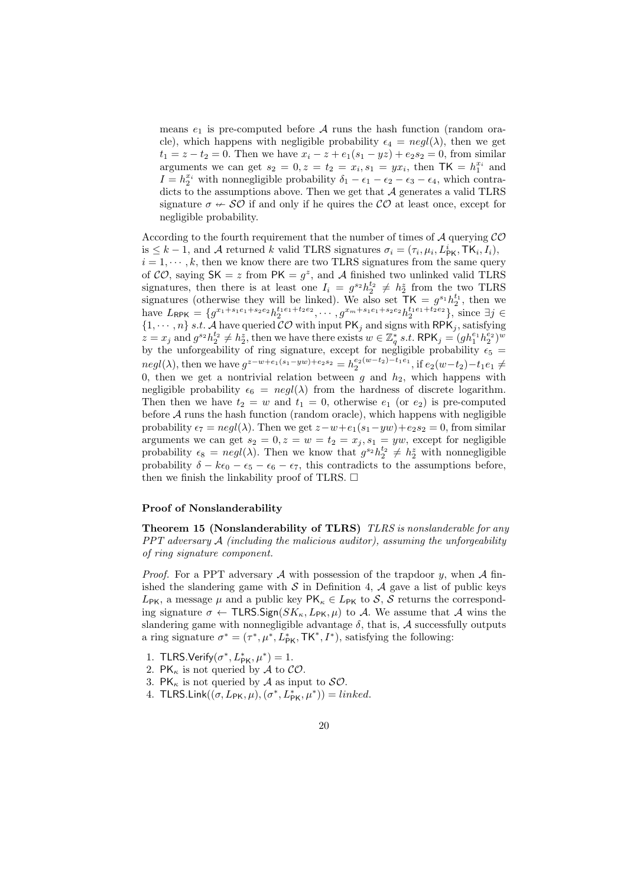means  $e_1$  is pre-computed before A runs the hash function (random oracle), which happens with negligible probability  $\epsilon_4 = negl(\lambda)$ , then we get  $t_1 = z - t_2 = 0$ . Then we have  $x_i - z + e_1(s_1 - yz) + e_2s_2 = 0$ , from similar arguments we can get  $s_2 = 0, z = t_2 = x_i, s_1 = yx_i$ , then  $TK = h_1^{x_i}$  and *I* =  $h_2^{x_i}$  with nonnegligible probability  $\delta_1 - \epsilon_1 - \epsilon_2 - \epsilon_3 - \epsilon_4$ , which contradicts to the assumptions above. Then we get that *A* generates a valid TLRS signature  $\sigma \leftarrow \mathcal{SO}$  if and only if he quires the  $\mathcal{CO}$  at least once, except for negligible probability.

According to the fourth requirement that the number of times of *A* querying *CO*  $i \leq k-1$ , and *A* returned *k* valid TLRS signatures  $\sigma_i = (\tau_i, \mu_i, L_{\text{PK}}^i, \text{TK}_i, I_i)$ ,  $i = 1, \dots, k$ , then we know there are two TLRS signatures from the same query of  $CO$ , saying  $SK = z$  from  $PK = g^z$ , and A finished two unlinked valid TLRS signatures, then there is at least one  $I_i = g^{s_2} h_2^{t_2} \neq h_2^z$  from the two TLRS signatures (otherwise they will be linked). We also set  $TK = g^{s_1} h_2^{t_1}$ , then we have  $L_{\mathsf{RPK}} = \{g^{x_1+s_1e_1+s_2e_2}h_2^{t_1e_1+t_2e_2}, \cdots, g^{x_m+s_1e_1+s_2e_2}h_2^{t_1e_1+t_2e_2}\},\$  since  $\exists j \in \mathbb{Z}$  $\{1, \dots, n\}$  *s.t. A* have queried *CO* with input PK<sub>*j*</sub> and signs with RPK<sub>*j*</sub>, satisfying  $z = x_j$  and  $g^{s_2}h_2^{t_2} \neq h_2^z$ , then we have there exists  $w \in \mathbb{Z}_q^*$  s.t. RPK  $_j = (gh_1^{e_1}h_2^{e_2})^w$ by the unforgeability of ring signature, except for negligible probability  $\epsilon_5$  =  $negl(\lambda)$ , then we have  $g^{z-w+e_1(s_1-yw)+e_2s_2} = h_2^{e_2(w-t_2)-t_1e_1}$ , if  $e_2(w-t_2)-t_1e_1 \neq$ 0, then we get a nontrivial relation between  $g$  and  $h_2$ , which happens with negligible probability  $\epsilon_6$  =  $negl(\lambda)$  from the hardness of discrete logarithm. Then then we have  $t_2 = w$  and  $t_1 = 0$ , otherwise  $e_1$  (or  $e_2$ ) is pre-computed before  $A$  runs the hash function (random oracle), which happens with negligible probability  $\epsilon_7 = negl(\lambda)$ . Then we get  $z-w+e_1(s_1-yw)+e_2s_2=0$ , from similar arguments we can get  $s_2 = 0, z = w = t_2 = x_j, s_1 = yw$ , except for negligible probability  $\epsilon_8 = negl(\lambda)$ . Then we know that  $g^{s_2}h_2^{t_2} \neq h_2^z$  with nonnegligible probability  $\delta - k\epsilon_0 - \epsilon_5 - \epsilon_6 - \epsilon_7$ , this contradicts to the assumptions before, then we finish the linkability proof of TLRS.  $\Box$ 

#### **Proof of Nonslanderability**

**Theorem 15 (Nonslanderability of TLRS)** *TLRS is nonslanderable for any PPT adversary A (including the malicious auditor), assuming the unforgeability of ring signature component.*

*Proof.* For a PPT adversary *A* with possession of the trapdoor *y*, when *A* finished the slandering game with  $S$  in Definition 4,  $\mathcal A$  gave a list of public keys  $L_{\text{PK}}$ , a message  $\mu$  and a public key  $\text{PK}_\kappa \in L_{\text{PK}}$  to *S*, *S* returns the corresponding signature  $\sigma \leftarrow$  TLRS.Sign( $SK_{\kappa}, L_{\text{PK}}, \mu$ ) to A. We assume that A wins the slandering game with nonnegligible advantage  $\delta$ , that is,  $\mathcal A$  successfully outputs a ring signature  $\sigma^* = (\tau^*, \mu^*, L_{\text{PK}}^*, \text{TK}^*, I^*)$ , satisfying the following:

- 1. **TLRS**. Verify $(\sigma^*, L_{\text{PK}}^*, \mu^*) = 1$ .
- 2. PK*<sup>κ</sup>* is not queried by *A* to *CO*.
- 3. PK*<sup>κ</sup>* is not queried by *A* as input to *SO*.
- 4. TLRS.Link(( $\sigma$ *, L*<sub>PK</sub>*,*  $\mu$ )*,*( $\sigma^*$ *, L*<sub>PK</sub>*,*  $\mu^*$ )) = *linked*.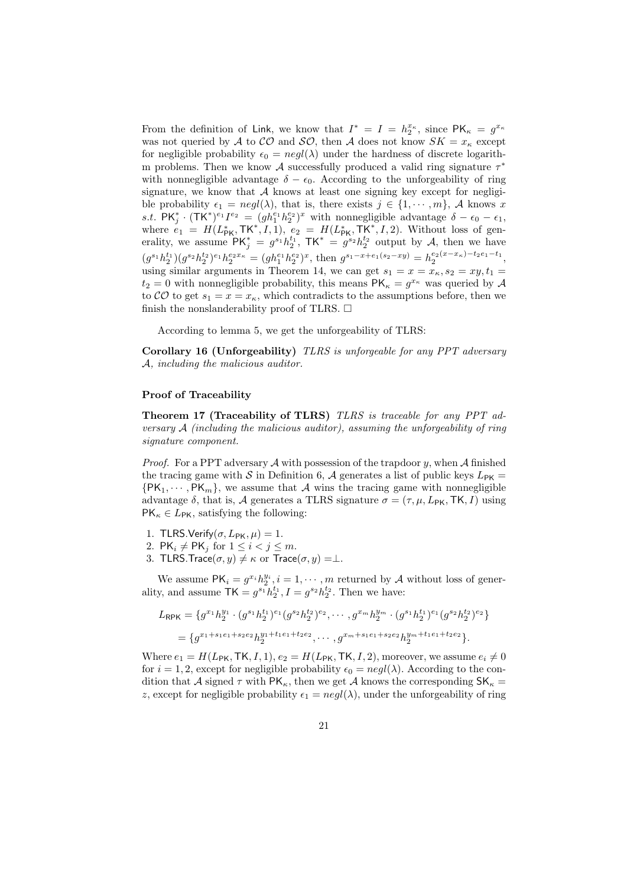From the definition of Link, we know that  $I^* = I = h_2^{x_{\kappa}}$ , since  $\mathsf{PK}_{\kappa} = g^{x_{\kappa}}$ was not queried by *A* to *CO* and *SO*, then *A* does not know  $SK = x_k$  except for negligible probability  $\epsilon_0 = negl(\lambda)$  under the hardness of discrete logarithm problems. Then we know *A* successfully produced a valid ring signature *τ ∗* with nonnegligible advantage  $\delta - \epsilon_0$ . According to the unforgeability of ring signature, we know that  $A$  knows at least one signing key except for negligible probability  $\epsilon_1 = negl(\lambda)$ , that is, there exists  $j \in \{1, \dots, m\}$ , A knows x *s.t.*  $PK_j^* \cdot (TK^*)^{e_1}I^{e_2} = (gh_1^{e_1}h_2^{e_2})^x$  with nonnegligible advantage  $\delta - \epsilon_0 - \epsilon_1$ , where  $e_1 = H(L_{\text{PK}}^*, \text{TK}^*, I, 1), e_2 = H(L_{\text{PK}}^*, \text{TK}^*, I, 2)$ . Without loss of generality, we assume  $PK_j^* = g^{s_1}h_2^{t_1}$ ,  $TK^* = g^{s_2}h_2^{t_2}$  output by *A*, then we have  $(g^{s_1}h_2^{t_1})(g^{s_2}h_2^{t_2})^{e_1}h_2^{e_2x_{\kappa}} = (gh_1^{e_1}h_2^{e_2})^x$ , then  $g^{s_1-x+e_1(s_2-xy)} = h_2^{e_2(x-x_{\kappa})-t_2e_1-t_1}$ , using similar arguments in Theorem 14, we can get  $s_1 = x = x_{\kappa}, s_2 = xy, t_1 =$  $t_2 = 0$  with nonnegligible probability, this means  $\mathsf{PK}_\kappa = g^{x_\kappa}$  was queried by  $\mathcal A$ to  $\mathcal{CO}$  to get  $s_1 = x = x_k$ , which contradicts to the assumptions before, then we finish the nonslanderability proof of TLRS.  $\Box$ 

According to lemma 5, we get the unforgeability of TLRS:

**Corollary 16 (Unforgeability)** *TLRS is unforgeable for any PPT adversary A, including the malicious auditor.*

#### **Proof of Traceability**

**Theorem 17 (Traceability of TLRS)** *TLRS is traceable for any PPT adversary A (including the malicious auditor), assuming the unforgeability of ring signature component.*

*Proof.* For a PPT adversary *A* with possession of the trapdoor *y*, when *A* finished the tracing game with *S* in Definition 6, *A* generates a list of public keys  $L_{PK}$  =  ${PK_1, \cdots, PK_m}$ , we assume that *A* wins the tracing game with nonnegligible advantage  $\delta$ , that is,  $\mathcal A$  generates a TLRS signature  $\sigma = (\tau, \mu, L_{\text{PK}}, \text{TK}, I)$  using  $PK_{\kappa} \in L_{PK}$ , satisfying the following:

- 1. TLRS. Verify $(\sigma, L_{\text{PK}}, \mu) = 1$ .
- 2.  $PK_i \neq PK_j$  for  $1 \leq i < j \leq m$ .
- 3. TLRS.Trace( $\sigma$ ,  $y$ )  $\neq$   $\kappa$  or Trace( $\sigma$ ,  $y$ ) = $\perp$ .

We assume  $PK_i = g^{x_i}h_2^{y_i}, i = 1, \cdots, m$  returned by *A* without loss of generality, and assume  $TK = g^{s_1} h_2^{t_1}, I = g^{s_2} h_2^{t_2}.$  Then we have:

$$
L_{\mathsf{RPK}} = \{g^{x_1}h_2^{y_1} \cdot (g^{s_1}h_2^{t_1})^{e_1}(g^{s_2}h_2^{t_2})^{e_2}, \cdots, g^{x_m}h_2^{y_m} \cdot (g^{s_1}h_2^{t_1})^{e_1}(g^{s_2}h_2^{t_2})^{e_2}\}
$$
  
= 
$$
\{g^{x_1+s_1e_1+s_2e_2}h_2^{y_1+t_1e_1+t_2e_2}, \cdots, g^{x_m+s_1e_1+s_2e_2}h_2^{y_m+t_1e_1+t_2e_2}\}.
$$

Where  $e_1 = H(L_{\text{PK}}, \text{TK}, I, 1), e_2 = H(L_{\text{PK}}, \text{TK}, I, 2),$  moreover, we assume  $e_i \neq 0$ for  $i = 1, 2$ , except for negligible probability  $\epsilon_0 = negl(\lambda)$ . According to the condition that *A* signed  $\tau$  with PK<sub>K</sub>, then we get *A* knows the corresponding  $SK_{\kappa} =$ *z*, except for negligible probability  $\epsilon_1 = negl(\lambda)$ , under the unforgeability of ring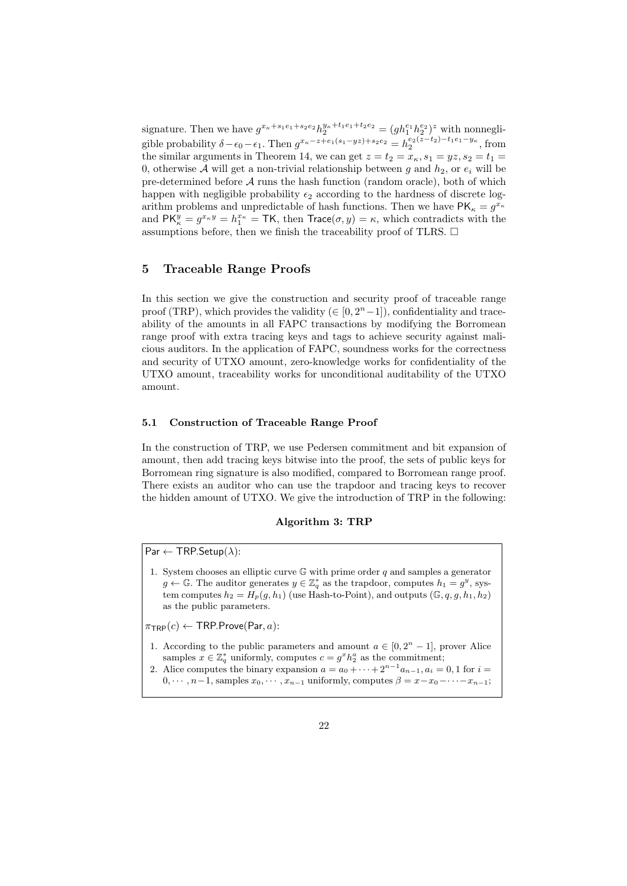signature. Then we have  $g^{x_k+s_1e_1+s_2e_2}h_2^{y_k+t_1e_1+t_2e_2} = (gh_1^{e_1}h_2^{e_2})^z$  with nonnegligible probability  $\delta - \epsilon_0 - \epsilon_1$ . Then  $g^{x_{\kappa} - z + \epsilon_1(s_1 - yz) + s_2 \epsilon_2} = h_2^{e_2(z - t_2) - t_1 \epsilon_1 - y_{\kappa}}$ , from the similar arguments in Theorem 14, we can get  $z = t_2 = x_\kappa$ ,  $s_1 = yz$ ,  $s_2 = t_1 =$ 0, otherwise  $A$  will get a non-trivial relationship between  $g$  and  $h_2$ , or  $e_i$  will be pre-determined before *A* runs the hash function (random oracle), both of which happen with negligible probability  $\epsilon_2$  according to the hardness of discrete logarithm problems and unpredictable of hash functions. Then we have  $PK_{\kappa} = g^{x_{\kappa}}$ and  $\mathsf{PK}_{\kappa}^y = g^{x_{\kappa}y} = h_1^{x_{\kappa}} = \mathsf{TK}$ , then  $\mathsf{Trace}(\sigma, y) = \kappa$ , which contradicts with the assumptions before, then we finish the traceability proof of TLRS.  $\Box$ 

# **5 Traceable Range Proofs**

In this section we give the construction and security proof of traceable range proof (TRP), which provides the validity  $(∈ [0, 2<sup>n</sup>−1])$ , confidentiality and traceability of the amounts in all FAPC transactions by modifying the Borromean range proof with extra tracing keys and tags to achieve security against malicious auditors. In the application of FAPC, soundness works for the correctness and security of UTXO amount, zero-knowledge works for confidentiality of the UTXO amount, traceability works for unconditional auditability of the UTXO amount.

# **5.1 Construction of Traceable Range Proof**

In the construction of TRP, we use Pedersen commitment and bit expansion of amount, then add tracing keys bitwise into the proof, the sets of public keys for Borromean ring signature is also modified, compared to Borromean range proof. There exists an auditor who can use the trapdoor and tracing keys to recover the hidden amount of UTXO. We give the introduction of TRP in the following:

#### **Algorithm 3: TRP**

Par *←* TRP.Setup(*λ*):

1. System chooses an elliptic curve G with prime order *q* and samples a generator *g* ← *G*. The auditor generates  $y \in \mathbb{Z}_q^*$  as the trapdoor, computes  $h_1 = g^y$ , system computes  $h_2 = H_p(g, h_1)$  (use Hash-to-Point), and outputs  $(\mathbb{G}, q, g, h_1, h_2)$ as the public parameters.

 $\pi_{\text{TRP}}(c) \leftarrow \text{TRP.Prove}(\text{Par}, a)$ :

- 1. According to the public parameters and amount  $a \in [0, 2<sup>n</sup> 1]$ , prover Alice samples  $x \in \mathbb{Z}_q^*$  uniformly, computes  $c = g^x h_2^a$  as the commitment;
- 2. Alice computes the binary expansion  $a = a_0 + \cdots + 2^{n-1}a_{n-1}, a_i = 0, 1$  for  $i =$  $0, \cdots, n-1$ , samples  $x_0, \cdots, x_{n-1}$  uniformly, computes  $\beta = x-x_0-\cdots-x_{n-1}$ ;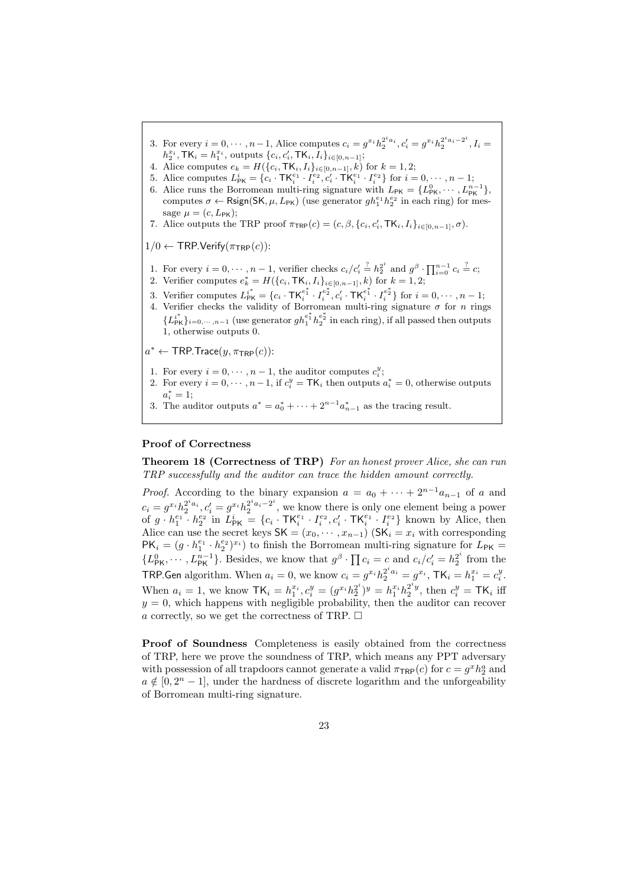- 3. For every  $i = 0, \dots, n-1$ , Alice computes  $c_i = g^{x_i} h_2^{2^i a_i}, c'_i = g^{x_i} h_2^{2^i a_i 2^i}$  $a_i^{2+a_i-2^*}, I_i =$  $h_2^{x_i}$ , TK<sub>*i*</sub></sub> =  $h_1^{x_i}$ , outputs  $\{c_i, c'_i, \text{TK}_i, I_i\}_{i \in [0, n-1]};$
- 4. Alice computes  $e_k = H(\{c_i, \text{TK}_i, I_i\}_{i \in [0,n-1]}, k)$  for  $k = 1, 2;$
- 5. Alice computes  $L_{\text{PK}}^i = \{c_i \cdot \text{TK}_i^{e_1} \cdot I_i^{e_2}, c_i' \cdot \text{TK}_i^{e_1} \cdot I_i^{e_2}\}$  for  $i = 0, \dots, n-1$ ;
- 6. Alice runs the Borromean multi-ring signature with  $L_{\text{PK}} = \{L_{\text{PK}}^0, \cdots, L_{\text{PK}}^{n-1}\}\,$ computes  $\sigma \leftarrow \text{Rsign}(\text{SK}, \mu, L_{\text{PK}})$  (use generator  $gh_1^{e_1}h_2^{e_2}$  in each ring) for message  $\mu = (c, L_{\text{PK}});$
- 7. Alice outputs the TRP proof  $\pi_{\text{TRP}}(c) = (c, \beta, \{c_i, c'_i, \text{TK}_i, I_i\}_{i \in [0, n-1]}, \sigma)$ .

 $1/0 \leftarrow \text{TRP}$ . Verify $(\pi_{\text{TRP}}(c))$ :

- 1. For every  $i = 0, \dots, n-1$ , verifier checks  $c_i/c_i' \stackrel{?}{=} h_2^{2^i}$  and  $g^{\beta} \cdot \prod_{i=0}^{n-1} c_i \stackrel{?}{=} c;$
- 2. Verifier computes  $e_k^* = H(\{c_i, \text{TK}_i, I_i\}_{i \in [0, n-1]}, k)$  for  $k = 1, 2$ ;
- 3. Verifier computes  $L_{\text{PK}}^{i^*} = \{c_i \cdot \text{TK}_i^{e_1^*} \cdot I_i^{e_2^*}, c_i' \cdot \text{TK}_i^{e_1^*} \cdot I_i^{e_2^*}\}$  for  $i = 0, \dots, n-1$ ;
- 4. Verifier checks the validity of Borromean multi-ring signature  $\sigma$  for *n* rings  ${L_{PK}^{i*}}_{i=0,\cdots,n-1}$  (use generator  $gh_1^{e_1^*}h_2^{e_2^*}$  in each ring), if all passed then outputs 1, otherwise outputs 0.

 $a^* \leftarrow \mathsf{TRP}.\mathsf{Trace}(y,\pi_{\mathsf{TRP}}(c))$ :

- 1. For every  $i = 0, \dots, n 1$ , the auditor computes  $c_i^y$ ;
- 2. For every  $i = 0, \dots, n-1$ , if  $c_i^y = \mathsf{TK}_i$  then outputs  $a_i^* = 0$ , otherwise outputs  $a_i^* = 1;$
- 3. The auditor outputs  $a^* = a_0^* + \cdots + 2^{n-1} a_{n-1}^*$  as the tracing result.

# **Proof of Correctness**

**Theorem 18 (Correctness of TRP)** *For an honest prover Alice, she can run TRP successfully and the auditor can trace the hidden amount correctly.*

*Proof.* According to the binary expansion  $a = a_0 + \cdots + 2^{n-1}a_{n-1}$  of *a* and  $c_i = g^{x_i} h_2^{2^i a_i}, c'_i = g^{x_i} h_2^{2^i a_i - 2^i}$  $2^{a_i-2^i}$ , we know there is only one element being a power of  $g \cdot h_1^{e_1} \cdot h_2^{e_2}$  in  $L_{\text{PK}}^i = \{c_i \cdot \text{TK}_i^{e_1} \cdot I_i^{e_2}, c_i' \cdot \text{TK}_i^{e_1} \cdot I_i^{e_2}\}\$ known by Alice, then Alice can use the secret keys  $SK = (x_0, \dots, x_{n-1})$  ( $SK_i = x_i$  with corresponding  $PK_i = (g \cdot h_1^{e_1} \cdot h_2^{e_2})^{x_i}$  to finish the Borromean multi-ring signature for  $L_{\text{PK}} =$  $\{L_{\text{PK}}^0, \cdots, L_{\text{PK}}^{n-1}\}\.$  Besides, we know that  $g^{\beta} \cdot \prod c_i = c$  and  $c_i/c'_i = h_2^{2^i}$  from the **TRP.Gen** algorithm. When  $a_i = 0$ , we know  $c_i = g^{x_i} h_2^{2^i a_i} = g^{x_i}$ ,  $\mathsf{TK}_i = h_1^{x_i} = c_i^y$ . When  $a_i = 1$ , we know  $\mathsf{TK}_i = h_1^{x_i}, c_i^y = (g^{x_i}h_2^{2^i})^y = h_1^{x_i}h_2^{2^iy}$ , then  $c_i^y = \mathsf{TK}_i$  iff  $y = 0$ , which happens with negligible probability, then the auditor can recover *a* correctly, so we get the correctness of TRP.  $\Box$ 

**Proof of Soundness** Completeness is easily obtained from the correctness of TRP, here we prove the soundness of TRP, which means any PPT adversary with possession of all trapdoors cannot generate a valid  $\pi_{TRP}(c)$  for  $c = g^x h_2^a$  and  $a \notin [0, 2<sup>n</sup> - 1]$ , under the hardness of discrete logarithm and the unforgeability of Borromean multi-ring signature.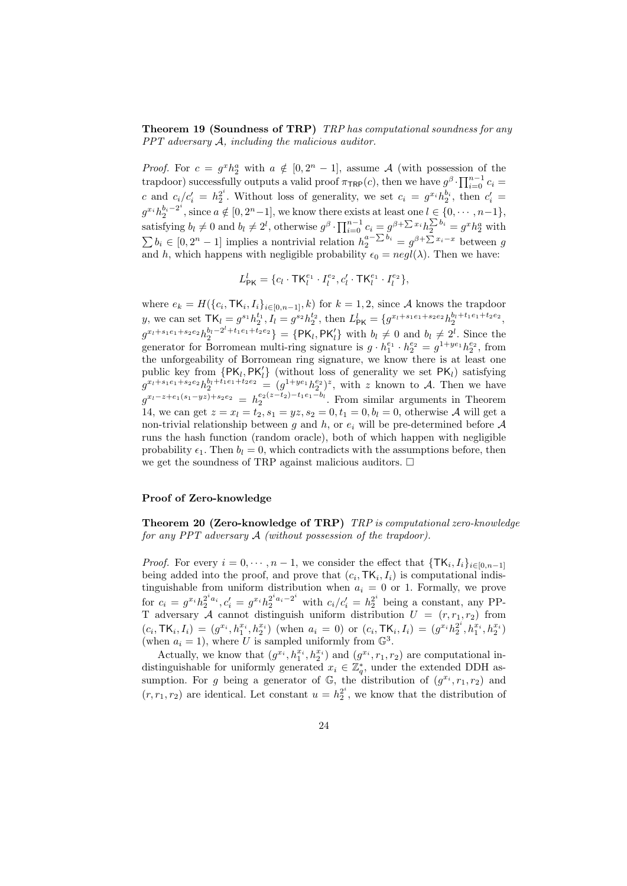**Theorem 19 (Soundness of TRP)** *TRP has computational soundness for any PPT adversary A, including the malicious auditor.*

*Proof.* For  $c = g^x h_2^a$  with  $a \notin [0, 2^n - 1]$ , assume *A* (with possession of the trapdoor) successfully outputs a valid proof  $\pi_{TRP}(c)$ , then we have  $g^{\beta} \cdot \prod_{i=0}^{n-1} c_i =$ *c* and  $c_i/c_i' = h_2^{2^i}$ . Without loss of generality, we set  $c_i = g^{x_i}h_2^{b_i}$ , then  $c_i' =$  $g^{x_i}h_2^{b_i-2^i}$  $\frac{b_i - 2^i}{2}$ , since  $a \notin [0, 2^n - 1]$ , we know there exists at least one  $l \in \{0, \dots, n-1\}$ , satisfying  $b_l \neq 0$  and  $b_l \neq 2^l$ , otherwise  $g^{\beta} \cdot \prod_{i=0}^{n-1} c_i = g^{\beta + \sum x_i} h_2^{\sum b_i} = g^x h_2^a$  with  $\sum b_i \in [0, 2^n - 1]$  implies a nontrivial relation  $h_2^{a - \sum b_i} = g^{\beta + \sum x_i - x}$  between *g* and *h*, which happens with negligible probability  $\epsilon_0 = negl(\lambda)$ . Then we have:

$$
L^l_{\mathsf{PK}} = \{c_l \cdot \mathsf{TK}_l^{e_1} \cdot I_l^{e_2}, c'_l \cdot \mathsf{TK}_l^{e_1} \cdot I_l^{e_2}\},\
$$

where  $e_k = H(\{c_i, \text{TK}_i, I_i\}_{i \in [0,n-1]}, k)$  for  $k = 1, 2$ , since *A* knows the trapdoor y, we can set  $\mathsf{TK}_l = g^{s_1} h_2^{t_1}, I_l = g^{s_2} h_2^{t_2}$ , then  $L^l_{\mathsf{PK}} = \{ g^{x_l + s_1 e_1 + s_2 e_2} h_2^{b_l + t_1 e_1 + t_2 e_2},$  $g^{x_l+s_1e_1+s_2e_2}h_2^{b_l-2^l+t_1e_1+t_2e_2}$  = {PK<sub>l</sub>, PK<sub>l</sub>} with  $b_l \neq 0$  and  $b_l \neq 2^l$ . Since the generator for Borromean multi-ring signature is  $g \cdot h_1^{e_1} \cdot h_2^{e_2} = g^{1+ye_1}h_2^{e_2}$ , from the unforgeability of Borromean ring signature, we know there is at least one public key from *{*PK*<sup>l</sup> ,* PK*′ <sup>l</sup>}* (without loss of generality we set PK*l*) satisfying  $g^{x_1+s_1e_1+s_2e_2}h_2^{b_1+t_1e_1+t_2e_2} = (g^{1+ye_1}h_2^{e_2})^z$ , with z known to A. Then we have  $g^{x_t-z+e_1(s_1-yz)+s_2e_2} = h_2^{e_2(z-t_2)-t_1e_1-b_l}$ . From similar arguments in Theorem 14, we can get  $z = x_l = t_2, s_1 = yz, s_2 = 0, t_1 = 0, b_l = 0$ , otherwise *A* will get a non-trivial relationship between *g* and *h*, or  $e_i$  will be pre-determined before  $A$ runs the hash function (random oracle), both of which happen with negligible probability  $\epsilon_1$ . Then  $b_l = 0$ , which contradicts with the assumptions before, then we get the soundness of TRP against malicious auditors.  $\Box$ 

#### **Proof of Zero-knowledge**

**Theorem 20 (Zero-knowledge of TRP)** *TRP is computational zero-knowledge for any PPT adversary A (without possession of the trapdoor).*

*Proof.* For every  $i = 0, \dots, n-1$ , we consider the effect that  $\{\textsf{TK}_i, I_i\}_{i \in [0,n-1]}$ being added into the proof, and prove that  $(c_i, \text{TK}_i, I_i)$  is computational indistinguishable from uniform distribution when  $a_i = 0$  or 1. Formally, we prove for  $c_i = g^{x_i} h_2^{2^i a_i}, c'_i = g^{x_i} h_2^{2^i a_i - 2^i}$  with  $c_i/c'_i = h_2^{2^i}$  being a constant, any PP-T adversary A cannot distinguish uniform distribution  $U = (r, r_1, r_2)$  from  $(c_i, \text{TK}_i, I_i) = (g^{x_i}, h_1^{x_i}, h_2^{x_i})$  (when  $a_i = 0$ ) or  $(c_i, \text{TK}_i, I_i) = (g^{x_i}h_2^{2^i}, h_1^{x_i}, h_2^{x_i})$ (when  $a_i = 1$ ), where *U* is sampled uniformly from  $\mathbb{G}^3$ .

Actually, we know that  $(g^{x_i}, h_1^{x_i}, h_2^{x_i})$  and  $(g^{x_i}, r_1, r_2)$  are computational indistinguishable for uniformly generated  $x_i \in \mathbb{Z}_q^*$ , under the extended DDH assumption. For *g* being a generator of  $\mathbb{G}$ , the distribution of  $(g^{x_i}, r_1, r_2)$  and  $(r, r_1, r_2)$  are identical. Let constant  $u = h_2^{2^i}$ , we know that the distribution of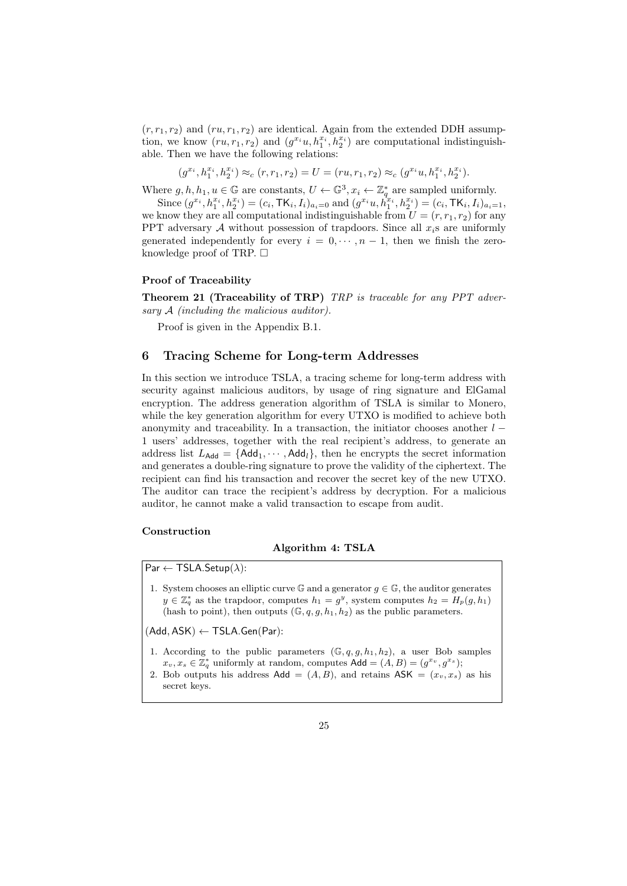$(r, r_1, r_2)$  and  $(ru, r_1, r_2)$  are identical. Again from the extended DDH assumption, we know  $(ru, r_1, r_2)$  and  $(g^{x_i}u, h_1^{x_i}, h_2^{x_i})$  are computational indistinguishable. Then we have the following relations:

$$
(g^{x_i},h_1^{x_i},h_2^{x_i}) \approx_c (r,r_1,r_2) = U = (ru,r_1,r_2) \approx_c (g^{x_i}u,h_1^{x_i},h_2^{x_i}).
$$

Where  $g, h, h_1, u \in \mathbb{G}$  are constants,  $U \leftarrow \mathbb{G}^3, x_i \leftarrow \mathbb{Z}_q^*$  are sampled uniformly.

Since  $(g^{x_i}, h_1^{x_i}, h_2^{x_i}) = (c_i, \text{TK}_i, I_i)_{a_i=0}$  and  $(g^{x_i}u, h_1^{x_i}, h_2^{x_i}) = (c_i, \text{TK}_i, I_i)_{a_i=1}$ , we know they are all computational indistinguishable from  $U = (r, r_1, r_2)$  for any PPT adversary  $\mathcal A$  without possession of trapdoors. Since all  $x_i$ <sup>s</sup> are uniformly generated independently for every  $i = 0, \dots, n-1$ , then we finish the zeroknowledge proof of TRP.  $\square$ 

### **Proof of Traceability**

**Theorem 21 (Traceability of TRP)** *TRP is traceable for any PPT adversary A (including the malicious auditor).*

Proof is given in the Appendix B.1.

# **6 Tracing Scheme for Long-term Addresses**

In this section we introduce TSLA, a tracing scheme for long-term address with security against malicious auditors, by usage of ring signature and ElGamal encryption. The address generation algorithm of TSLA is similar to Monero, while the key generation algorithm for every UTXO is modified to achieve both anonymity and traceability. In a transaction, the initiator chooses another *l −* 1 users' addresses, together with the real recipient's address, to generate an address list  $L_{\text{Add}} = \{ \text{Add}_1, \cdots, \text{Add}_l \}$ , then he encrypts the secret information and generates a double-ring signature to prove the validity of the ciphertext. The recipient can find his transaction and recover the secret key of the new UTXO. The auditor can trace the recipient's address by decryption. For a malicious auditor, he cannot make a valid transaction to escape from audit.

# **Construction**

#### **Algorithm 4: TSLA**

Par *←* TSLA.Setup(*λ*):

1. System chooses an elliptic curve  $\mathbb{G}$  and a generator  $g \in \mathbb{G}$ , the auditor generates  $y \in \mathbb{Z}_q^*$  as the trapdoor, computes  $h_1 = g^y$ , system computes  $h_2 = H_p(g, h_1)$ (hash to point), then outputs  $(\mathbb{G}, q, g, h_1, h_2)$  as the public parameters.

(Add*,* ASK) *←* TSLA.Gen(Par):

- 1. According to the public parameters  $(\mathbb{G}, q, g, h_1, h_2)$ , a user Bob samples  $x_v, x_s \in \mathbb{Z}_q^*$  uniformly at random, computes  $\mathsf{Add} = (A, B) = (g^{x_v}, g^{x_s})$ ;
- 2. Bob outputs his address  $Add = (A, B)$ , and retains  $ASK = (x_v, x_s)$  as his secret keys.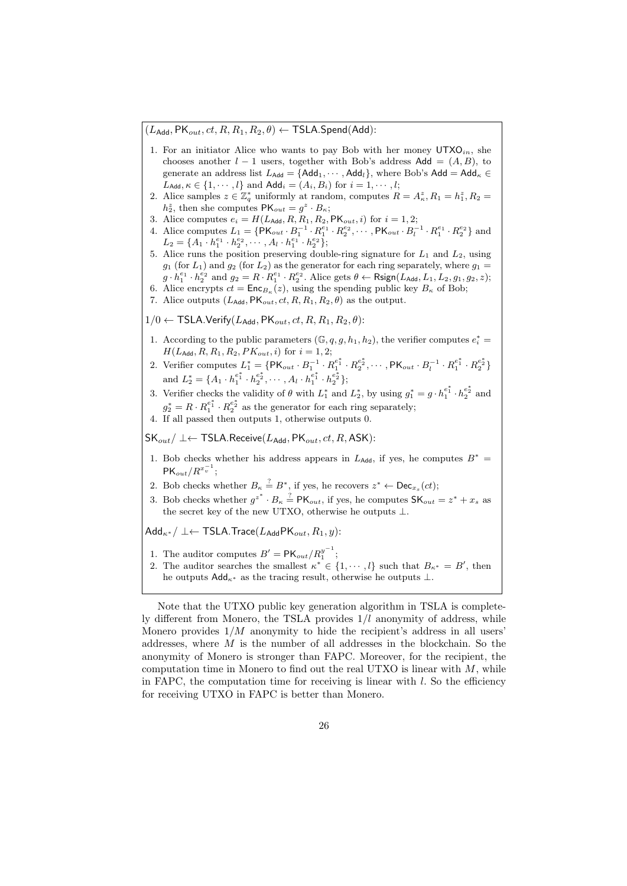$(L_{\text{Add}}, \text{PK}_{out}, ct, R, R_1, R_2, \theta) \leftarrow \text{TSLA}.\text{Spend}(\text{Add})$ :

- 1. For an initiator Alice who wants to pay Bob with her money  $UTXO<sub>in</sub>$ , she chooses another  $l-1$  users, together with Bob's address  $\mathsf{Add} = (A, B)$ , to generate an address list  $L_{\text{Add}} = {\text{Add}_1, \dots, \text{Add}_l}$ , where Bob's Add = Add<sub>*K*</sub>  $\in$  $L_{\text{Add}}$ ,  $\kappa \in \{1, \dots, l\}$  and  $\text{Add}_i = (A_i, B_i)$  for  $i = 1, \dots, l;$
- 2. Alice samples  $z \in \mathbb{Z}_q^*$  uniformly at random, computes  $R = A_{\kappa}^z, R_1 = h_1^z, R_2 =$ *h*<sub>2</sub><sup>2</sup>, then she computes  $PK_{out} = g^z \cdot B_{\kappa}$ ;
- 3. Alice computes  $e_i = H(L_{\text{Add}}, R, R_1, R_2, \text{PK}_{out}, i)$  for  $i = 1, 2;$
- 4. Alice computes  $L_1 = \{ \mathsf{PK}_{out} \cdot B_1^{-1} \cdot R_1^{e_1} \cdot R_2^{e_2}, \cdots, \mathsf{PK}_{out} \cdot B_l^{-1} \cdot R_1^{e_1} \cdot R_2^{e_2} \}$  and  $L_2 = \{A_1 \cdot h_1^{e_1} \cdot h_2^{e_2}, \cdots, A_l \cdot h_1^{e_1} \cdot h_2^{e_2}\};$
- 5. Alice runs the position preserving double-ring signature for *L*<sup>1</sup> and *L*2, using  $g_1$  (for  $L_1$ ) and  $g_2$  (for  $L_2$ ) as the generator for each ring separately, where  $g_1 =$  $g \cdot h_1^{e_1} \cdot h_2^{e_2}$  and  $g_2 = R \cdot R_1^{e_1} \cdot R_2^{e_2}$ . Alice gets  $\theta \leftarrow \textsf{Rsign}(L_{\text{Add}}, L_1, L_2, g_1, g_2, z)$ ;
- 6. Alice encrypts  $ct = \text{Enc}_{B_{\kappa}}(z)$ , using the spending public key  $B_{\kappa}$  of Bob;
- 7. Alice outputs  $(L_{\text{Add}}, \text{PK}_{out}, ct, R, R_1, R_2, \theta)$  as the output.
- $1/0$  ← TSLA.Verify( $L_{\text{Add}}$ , PK<sub>out</sub>*, ct*,  $R$ ,  $R_1$ ,  $R_2$ ,  $\theta$ ):
- 1. According to the public parameters  $(G, q, g, h_1, h_2)$ , the verifier computes  $e_i^* =$  $H(L_{\text{Add}}, R, R_1, R_2, PK_{out}, i)$  for  $i = 1, 2;$
- 2. Verifier computes  $L_1^* = \{ \mathsf{PK}_{out} \cdot B_1^{-1} \cdot R_1^{e_1^*} \cdot R_2^{e_2^*}, \cdots, \mathsf{PK}_{out} \cdot B_l^{-1} \cdot R_1^{e_1^*} \cdot R_2^{e_2^*} \}$ and  $L_2^* = \{A_1 \cdot h_1^{e_1^*} \cdot h_2^{e_2^*}, \cdots, A_l \cdot h_1^{e_1^*} \cdot h_2^{e_2^*}\};$
- 3. Verifier checks the validity of  $\theta$  with  $L_1^*$  and  $L_2^*$ , by using  $g_1^* = g \cdot h_1^{e_1^*} \cdot h_2^{e_2^*}$  and  $g_2^* = R \cdot R_1^{e_1^*} \cdot R_2^{e_2^*}$  as the generator for each ring separately;
- 4. If all passed then outputs 1, otherwise outputs 0.
- $SK_{out}/ \perp \leftarrow$  TSLA.Receive( $L_{Add}$ , PK<sub>out</sub>, ct, R, ASK):
- 1. Bob checks whether his address appears in  $L_{\text{Add}}$ , if yes, he computes  $B^*$  $\mathsf{PK}_{out}/R^{x_v^{-1}};$
- 2. Bob checks whether  $B_{\kappa} \stackrel{?}{=} B^*$ , if yes, he recovers  $z^* \leftarrow \mathsf{Dec}_{x_s}(ct)$ ;
- 3. Bob checks whether  $g^{z^*} \cdot B_{\kappa} \stackrel{?}{=} \mathsf{PK}_{out}$ , if yes, he computes  $\mathsf{SK}_{out} = z^* + x_s$  as the secret key of the new UTXO, otherwise he outputs *⊥*.

 $Add_{\kappa}$ <sup>*∗*</sup> / ⊥← TSLA.Trace( $L_{Add}$ PK<sub>*out*</sub>,  $R_1$ ,  $y$ ):

- 1. The auditor computes  $B' = \mathsf{PK}_{out}/R_1^{y^{-1}}$ ;
- 2. The auditor searches the smallest  $\kappa^* \in \{1, \dots, l\}$  such that  $B_{\kappa^*} = B'$ , then he outputs Add*<sup>κ</sup><sup>∗</sup>* as the tracing result, otherwise he outputs *⊥*.

Note that the UTXO public key generation algorithm in TSLA is completely different from Monero, the TSLA provides 1*/l* anonymity of address, while Monero provides 1*/M* anonymity to hide the recipient's address in all users' addresses, where *M* is the number of all addresses in the blockchain. So the anonymity of Monero is stronger than FAPC. Moreover, for the recipient, the computation time in Monero to find out the real UTXO is linear with *M*, while in FAPC, the computation time for receiving is linear with  $l$ . So the efficiency for receiving UTXO in FAPC is better than Monero.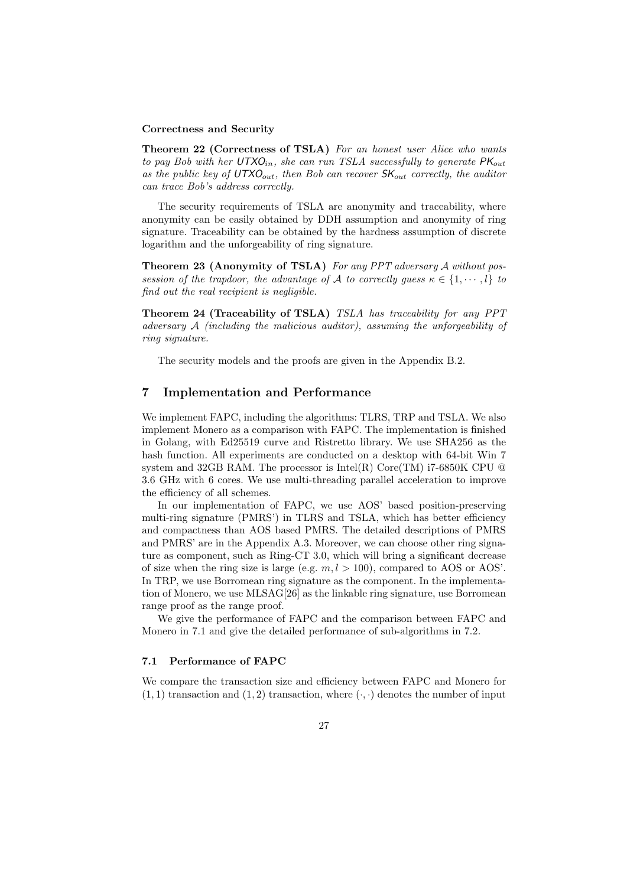#### **Correctness and Security**

**Theorem 22 (Correctness of TSLA)** *For an honest user Alice who wants to pay Bob with her UTXOin, she can run TSLA successfully to generate PKout as the public key of UTXOout, then Bob can recover SKout correctly, the auditor can trace Bob's address correctly.*

The security requirements of TSLA are anonymity and traceability, where anonymity can be easily obtained by DDH assumption and anonymity of ring signature. Traceability can be obtained by the hardness assumption of discrete logarithm and the unforgeability of ring signature.

**Theorem 23 (Anonymity of TSLA)** *For any PPT adversary A without possession of the trapdoor, the advantage of A to correctly guess*  $\kappa \in \{1, \dots, l\}$  *to find out the real recipient is negligible.*

**Theorem 24 (Traceability of TSLA)** *TSLA has traceability for any PPT adversary A (including the malicious auditor), assuming the unforgeability of ring signature.*

The security models and the proofs are given in the Appendix B.2.

# **7 Implementation and Performance**

We implement FAPC, including the algorithms: TLRS, TRP and TSLA. We also implement Monero as a comparison with FAPC. The implementation is finished in Golang, with Ed25519 curve and Ristretto library. We use SHA256 as the hash function. All experiments are conducted on a desktop with 64-bit Win 7 system and 32GB RAM. The processor is Intel(R) Core(TM) i7-6850K CPU @ 3.6 GHz with 6 cores. We use multi-threading parallel acceleration to improve the efficiency of all schemes.

In our implementation of FAPC, we use AOS' based position-preserving multi-ring signature (PMRS') in TLRS and TSLA, which has better efficiency and compactness than AOS based PMRS. The detailed descriptions of PMRS and PMRS' are in the Appendix A.3. Moreover, we can choose other ring signature as component, such as Ring-CT 3.0, which will bring a significant decrease of size when the ring size is large (e.g.  $m, l > 100$ ), compared to AOS or AOS'. In TRP, we use Borromean ring signature as the component. In the implementation of Monero, we use MLSAG[26] as the linkable ring signature, use Borromean range proof as the range proof.

We give the performance of FAPC and the comparison between FAPC and Monero in 7.1 and give the detailed performance of sub-algorithms in 7.2.

# **7.1 Performance of FAPC**

We compare the transaction size and efficiency between FAPC and Monero for  $(1,1)$  transaction and  $(1,2)$  transaction, where  $(\cdot,\cdot)$  denotes the number of input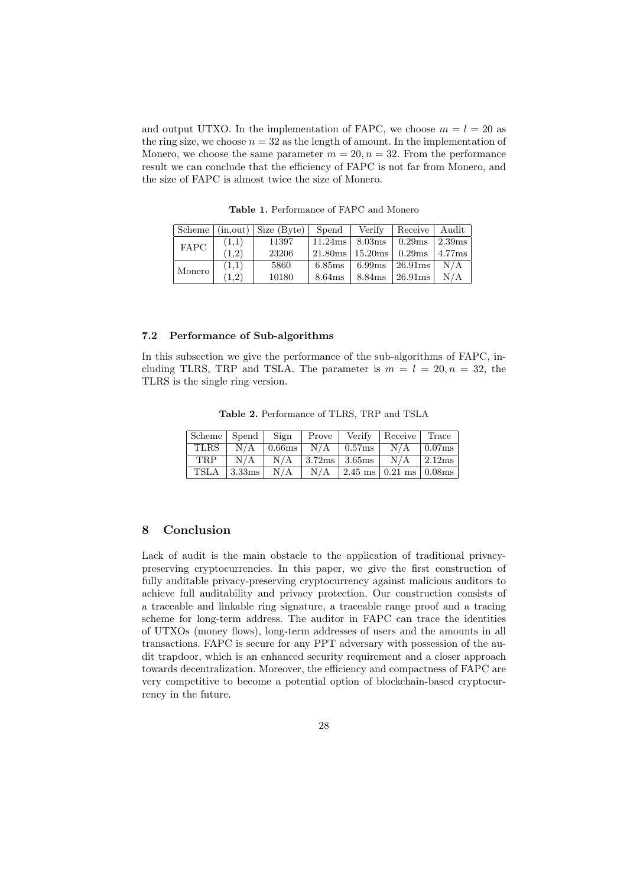and output UTXO. In the implementation of FAPC, we choose  $m = l = 20$  as the ring size, we choose  $n = 32$  as the length of amount. In the implementation of Monero, we choose the same parameter  $m = 20$ ,  $n = 32$ . From the performance result we can conclude that the efficiency of FAPC is not far from Monero, and the size of FAPC is almost twice the size of Monero.

**Table 1.** Performance of FAPC and Monero

| Scheme      | (in.out) | Size (Byte) | Spend  | Verify              | Receive                  | Audit               |
|-------------|----------|-------------|--------|---------------------|--------------------------|---------------------|
| <b>FAPC</b> | (1,1)    | 11397       |        | $11.24ms$   8.03ms  | $\log 0.29$ ms           | $\sqrt{2.39}$ ms    |
|             | (1.2)    | 23206       |        | $21.80ms$   15.20ms | 0.29ms                   | 14.77 <sub>ms</sub> |
| Monero      | (1,1)    | 5860        | 6.85ms |                     | 6.99ms $\sqrt{26.91}$ ms | N/A                 |
|             | (1,2)    | 10180       | 8.64ms | 8.84ms              | 26.91ms                  | N/A                 |

#### **7.2 Performance of Sub-algorithms**

In this subsection we give the performance of the sub-algorithms of FAPC, including TLRS, TRP and TSLA. The parameter is  $m = l = 20, n = 32$ , the TLRS is the single ring version.

| Scheme   Spend   Sign |                 |     | Prove | Verify   Receive   Trace                                                  |               |
|-----------------------|-----------------|-----|-------|---------------------------------------------------------------------------|---------------|
| TLRS                  | N/A             |     |       | $\vert 0.66 \text{ms} \vert N/A \vert 0.57 \text{ms} \vert N/A$           | $\pm 0.07$ ms |
| <b>TRP</b>            | N/A             | N/A |       | $ 3.72$ ms $ 3.65$ ms $  N/A$                                             | 12.12ms       |
|                       | $TSLA$   3.33ms | N/A | N/A   | $\vert 2.45 \text{ ms} \vert 0.21 \text{ ms} \vert 0.08 \text{ ms} \vert$ |               |

**Table 2.** Performance of TLRS, TRP and TSLA

# **8 Conclusion**

Lack of audit is the main obstacle to the application of traditional privacypreserving cryptocurrencies. In this paper, we give the first construction of fully auditable privacy-preserving cryptocurrency against malicious auditors to achieve full auditability and privacy protection. Our construction consists of a traceable and linkable ring signature, a traceable range proof and a tracing scheme for long-term address. The auditor in FAPC can trace the identities of UTXOs (money flows), long-term addresses of users and the amounts in all transactions. FAPC is secure for any PPT adversary with possession of the audit trapdoor, which is an enhanced security requirement and a closer approach towards decentralization. Moreover, the efficiency and compactness of FAPC are very competitive to become a potential option of blockchain-based cryptocurrency in the future.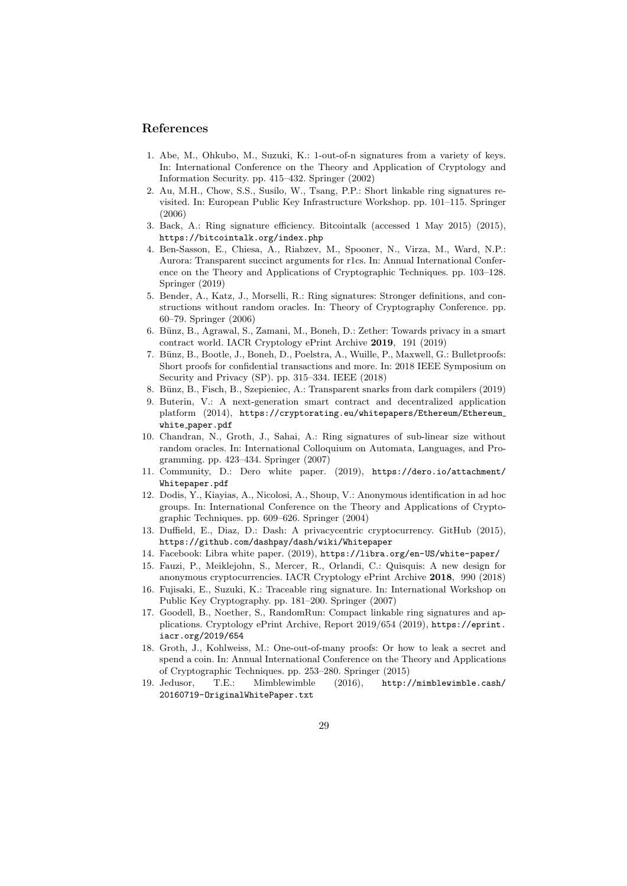# **References**

- 1. Abe, M., Ohkubo, M., Suzuki, K.: 1-out-of-n signatures from a variety of keys. In: International Conference on the Theory and Application of Cryptology and Information Security. pp. 415–432. Springer (2002)
- 2. Au, M.H., Chow, S.S., Susilo, W., Tsang, P.P.: Short linkable ring signatures revisited. In: European Public Key Infrastructure Workshop. pp. 101–115. Springer (2006)
- 3. Back, A.: Ring signature efficiency. Bitcointalk (accessed 1 May 2015) (2015), https://bitcointalk.org/index.php
- 4. Ben-Sasson, E., Chiesa, A., Riabzev, M., Spooner, N., Virza, M., Ward, N.P.: Aurora: Transparent succinct arguments for r1cs. In: Annual International Conference on the Theory and Applications of Cryptographic Techniques. pp. 103–128. Springer (2019)
- 5. Bender, A., Katz, J., Morselli, R.: Ring signatures: Stronger definitions, and constructions without random oracles. In: Theory of Cryptography Conference. pp. 60–79. Springer (2006)
- 6. Bünz, B., Agrawal, S., Zamani, M., Boneh, D.: Zether: Towards privacy in a smart contract world. IACR Cryptology ePrint Archive **2019**, 191 (2019)
- 7. Bünz, B., Bootle, J., Boneh, D., Poelstra, A., Wuille, P., Maxwell, G.; Bulletproofs: Short proofs for confidential transactions and more. In: 2018 IEEE Symposium on Security and Privacy (SP). pp. 315–334. IEEE (2018)
- 8. Bünz, B., Fisch, B., Szepieniec, A.: Transparent snarks from dark compilers (2019)
- 9. Buterin, V.: A next-generation smart contract and decentralized application platform (2014), https://cryptorating.eu/whitepapers/Ethereum/Ethereum white paper.pdf
- 10. Chandran, N., Groth, J., Sahai, A.: Ring signatures of sub-linear size without random oracles. In: International Colloquium on Automata, Languages, and Programming. pp. 423–434. Springer (2007)
- 11. Community, D.: Dero white paper. (2019), https://dero.io/attachment/ Whitepaper.pdf
- 12. Dodis, Y., Kiayias, A., Nicolosi, A., Shoup, V.: Anonymous identification in ad hoc groups. In: International Conference on the Theory and Applications of Cryptographic Techniques. pp. 609–626. Springer (2004)
- 13. Duffield, E., Diaz, D.: Dash: A privacycentric cryptocurrency. GitHub (2015), https://github.com/dashpay/dash/wiki/Whitepaper
- 14. Facebook: Libra white paper. (2019), https://libra.org/en-US/white-paper/
- 15. Fauzi, P., Meiklejohn, S., Mercer, R., Orlandi, C.: Quisquis: A new design for anonymous cryptocurrencies. IACR Cryptology ePrint Archive **2018**, 990 (2018)
- 16. Fujisaki, E., Suzuki, K.: Traceable ring signature. In: International Workshop on Public Key Cryptography. pp. 181–200. Springer (2007)
- 17. Goodell, B., Noether, S., RandomRun: Compact linkable ring signatures and applications. Cryptology ePrint Archive, Report 2019/654 (2019), https://eprint. iacr.org/2019/654
- 18. Groth, J., Kohlweiss, M.: One-out-of-many proofs: Or how to leak a secret and spend a coin. In: Annual International Conference on the Theory and Applications of Cryptographic Techniques. pp. 253–280. Springer (2015)
- 19. Jedusor, T.E.: Mimblewimble (2016), http://mimblewimble.cash/ 20160719-OriginalWhitePaper.txt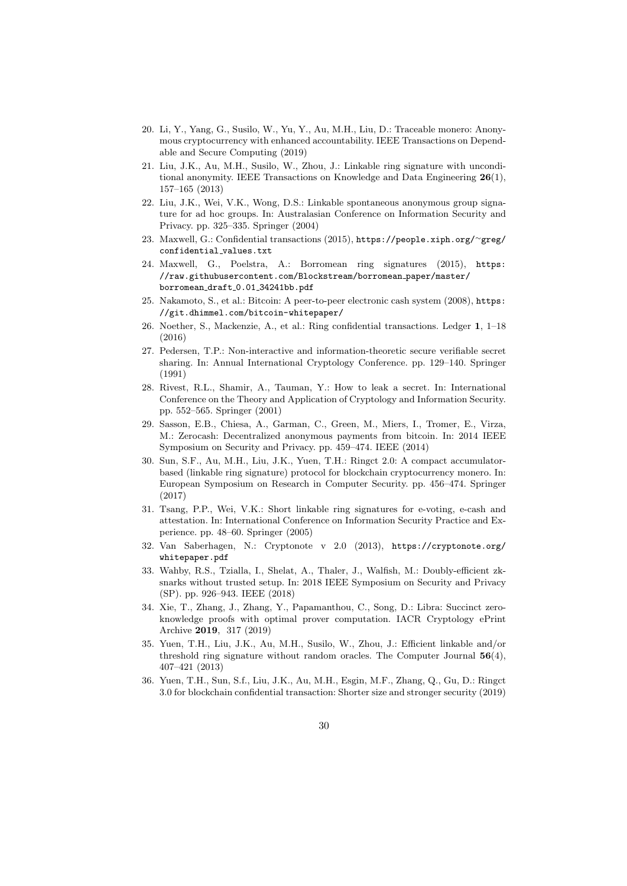- 20. Li, Y., Yang, G., Susilo, W., Yu, Y., Au, M.H., Liu, D.: Traceable monero: Anonymous cryptocurrency with enhanced accountability. IEEE Transactions on Dependable and Secure Computing (2019)
- 21. Liu, J.K., Au, M.H., Susilo, W., Zhou, J.: Linkable ring signature with unconditional anonymity. IEEE Transactions on Knowledge and Data Engineering **26**(1), 157–165 (2013)
- 22. Liu, J.K., Wei, V.K., Wong, D.S.: Linkable spontaneous anonymous group signature for ad hoc groups. In: Australasian Conference on Information Security and Privacy. pp. 325–335. Springer (2004)
- 23. Maxwell, G.: Confidential transactions (2015), https://people.xiph.org/*∼*greg/ confidential values.txt
- 24. Maxwell, G., Poelstra, A.: Borromean ring signatures (2015), https: //raw.githubusercontent.com/Blockstream/borromean paper/master/ borromean draft 0.01 34241bb.pdf
- 25. Nakamoto, S., et al.: Bitcoin: A peer-to-peer electronic cash system (2008), https: //git.dhimmel.com/bitcoin-whitepaper/
- 26. Noether, S., Mackenzie, A., et al.: Ring confidential transactions. Ledger **1**, 1–18 (2016)
- 27. Pedersen, T.P.: Non-interactive and information-theoretic secure verifiable secret sharing. In: Annual International Cryptology Conference. pp. 129–140. Springer (1991)
- 28. Rivest, R.L., Shamir, A., Tauman, Y.: How to leak a secret. In: International Conference on the Theory and Application of Cryptology and Information Security. pp. 552–565. Springer (2001)
- 29. Sasson, E.B., Chiesa, A., Garman, C., Green, M., Miers, I., Tromer, E., Virza, M.: Zerocash: Decentralized anonymous payments from bitcoin. In: 2014 IEEE Symposium on Security and Privacy. pp. 459–474. IEEE (2014)
- 30. Sun, S.F., Au, M.H., Liu, J.K., Yuen, T.H.: Ringct 2.0: A compact accumulatorbased (linkable ring signature) protocol for blockchain cryptocurrency monero. In: European Symposium on Research in Computer Security. pp. 456–474. Springer (2017)
- 31. Tsang, P.P., Wei, V.K.: Short linkable ring signatures for e-voting, e-cash and attestation. In: International Conference on Information Security Practice and Experience. pp. 48–60. Springer (2005)
- 32. Van Saberhagen, N.: Cryptonote v 2.0 (2013), https://cryptonote.org/ whitepaper.pdf
- 33. Wahby, R.S., Tzialla, I., Shelat, A., Thaler, J., Walfish, M.: Doubly-efficient zksnarks without trusted setup. In: 2018 IEEE Symposium on Security and Privacy (SP). pp. 926–943. IEEE (2018)
- 34. Xie, T., Zhang, J., Zhang, Y., Papamanthou, C., Song, D.: Libra: Succinct zeroknowledge proofs with optimal prover computation. IACR Cryptology ePrint Archive **2019**, 317 (2019)
- 35. Yuen, T.H., Liu, J.K., Au, M.H., Susilo, W., Zhou, J.: Efficient linkable and/or threshold ring signature without random oracles. The Computer Journal **56**(4), 407–421 (2013)
- 36. Yuen, T.H., Sun, S.f., Liu, J.K., Au, M.H., Esgin, M.F., Zhang, Q., Gu, D.: Ringct 3.0 for blockchain confidential transaction: Shorter size and stronger security (2019)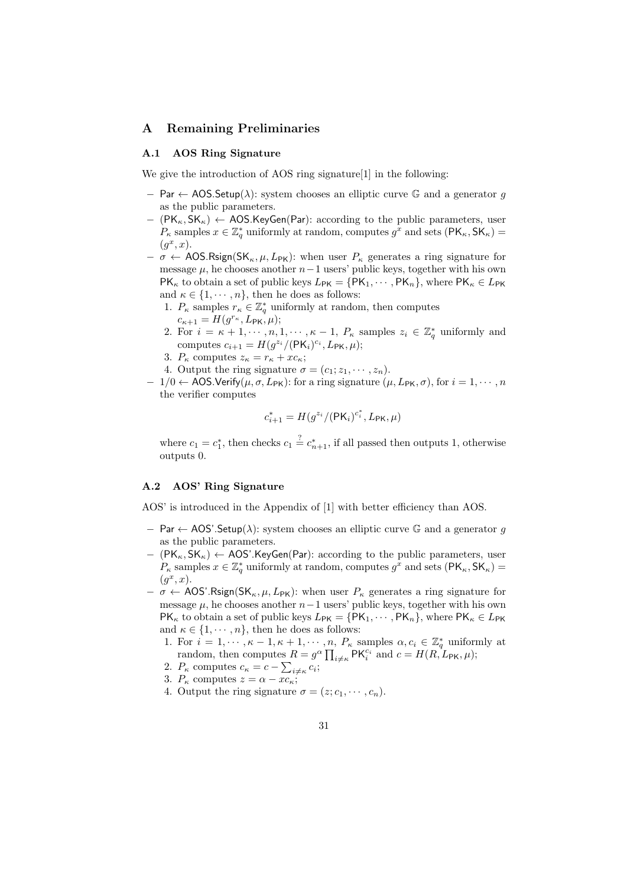# **A Remaining Preliminaries**

# **A.1 AOS Ring Signature**

We give the introduction of AOS ring signature[1] in the following:

- *−* Par *←* AOS.Setup(*λ*): system chooses an elliptic curve G and a generator *g* as the public parameters.
- *−* (PK*κ,* SK*κ*) *←* AOS.KeyGen(Par): according to the public parameters, user  $P_{\kappa}$  samples  $x \in \mathbb{Z}_q^*$  uniformly at random, computes  $g^x$  and sets  $(\mathsf{PK}_{\kappa}, \mathsf{SK}_{\kappa}) =$  $(g^x, x)$ .
- *− σ ←* AOS.Rsign(SK*κ, µ, L*PK): when user *P<sup>κ</sup>* generates a ring signature for message  $\mu$ , he chooses another  $n-1$  users' public keys, together with his own  $PK_{\kappa}$  to obtain a set of public keys  $L_{PK} = \{PK_1, \dots, PK_n\}$ , where  $PK_{\kappa} \in L_{PK}$ and  $\kappa \in \{1, \dots, n\}$ , then he does as follows:
	- 1.  $P_{\kappa}$  samples  $r_{\kappa} \in \mathbb{Z}_q^*$  uniformly at random, then computes  $c_{\kappa+1} = H(g^{r_{\kappa}}, L_{\text{PK}}, \mu);$
	- 2. For  $i = \kappa + 1, \dots, n, 1, \dots, \kappa 1$ ,  $P_{\kappa}$  samples  $z_i \in \mathbb{Z}_q^*$  uniformly and computes  $c_{i+1} = H(g^{z_i}/(PK_i)^{c_i}, L_{PK}, \mu);$
	- 3.  $P_{\kappa}$  computes  $z_{\kappa} = r_{\kappa} + x c_{\kappa}$ ;
	- 4. Output the ring signature  $\sigma = (c_1; z_1, \dots, z_n)$ .
- *−* 1/0  $\leftarrow$  AOS.Verify( $\mu$ ,  $\sigma$ ,  $L_{\text{PK}}$ ): for a ring signature ( $\mu$ ,  $L_{\text{PK}}$ ,  $\sigma$ ), for  $i = 1, \cdots, n$ the verifier computes

$$
c_{i+1}^* = H(g^{z_i}/(\mathsf{PK}_i)^{c_i^*}, L_{\mathsf{PK}}, \mu)
$$

where  $c_1 = c_1^*$ , then checks  $c_1 \stackrel{?}{=} c_{n+1}^*$ , if all passed then outputs 1, otherwise outputs 0.

# **A.2 AOS' Ring Signature**

AOS' is introduced in the Appendix of [1] with better efficiency than AOS.

- *−* Par *←* AOS'.Setup(*λ*): system chooses an elliptic curve G and a generator *g* as the public parameters.
- $(PK_{\kappa}, SK_{\kappa}) \leftarrow AOS'.KeyGen(Par): according to the public parameters, user$  $P_{\kappa}$  samples  $x \in \mathbb{Z}_q^*$  uniformly at random, computes  $g^x$  and sets  $(\mathsf{PK}_{\kappa}, \mathsf{SK}_{\kappa}) =$  $(g^x, x)$ .
- *− σ ←* AOS'.Rsign(SK*κ, µ, L*PK): when user *P<sup>κ</sup>* generates a ring signature for message  $\mu$ , he chooses another  $n-1$  users' public keys, together with his own  $PK_{\kappa}$  to obtain a set of public keys  $L_{PK} = \{PK_1, \dots, PK_n\}$ , where  $PK_{\kappa} \in L_{PK}$ and  $\kappa \in \{1, \dots, n\}$ , then he does as follows:
	- 1. For  $i = 1, \dots, \kappa 1, \kappa + 1, \dots, n, P_{\kappa}$  samples  $\alpha, c_i \in \mathbb{Z}_q^*$  uniformly at random, then computes  $R = g^{\alpha} \prod_{i \neq \kappa} \mathsf{PK}_{i}^{c_{i}}$  and  $c = H(R, L_{\mathsf{PK}}, \mu);$
	- 2.  $P_{\kappa}$  computes  $c_{\kappa} = c \sum_{i \neq \kappa} c_i$ ;
	- 3.  $P_{\kappa}$  computes  $z = \alpha x c_{\kappa}$ ;
	- 4. Output the ring signature  $\sigma = (z; c_1, \dots, c_n)$ .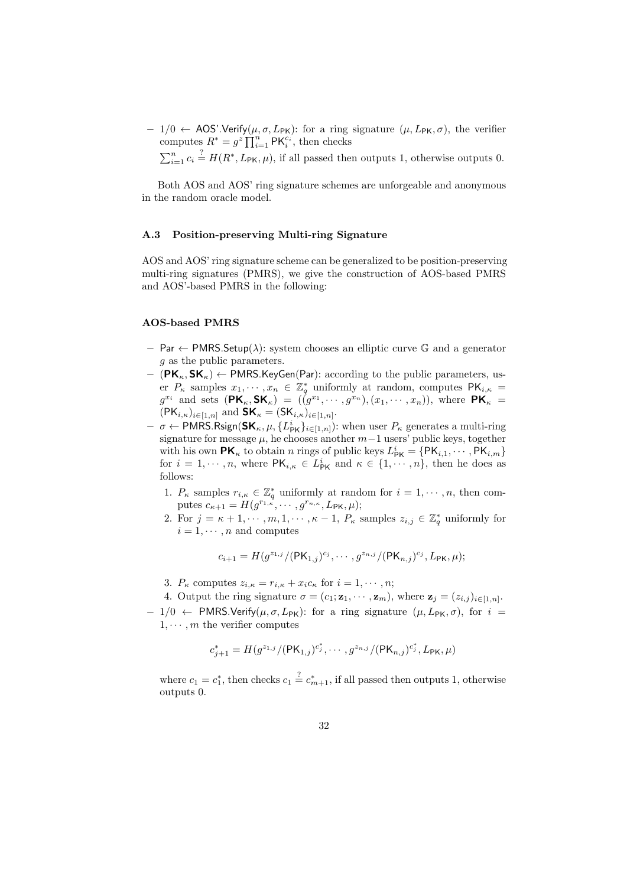*−* 1/0  $\leftarrow$  AOS'.Verify(*μ, σ, L*<sub>PK</sub>): for a ring signature (*μ, L*<sub>PK</sub>, *σ*), the verifier computes  $R^* = g^z \prod_{i=1}^n \mathsf{PK}_i^{c_i}$ , then checks

 $\sum_{i=1}^{n} c_i \stackrel{?}{=} H(R^*, L_{\text{PK}}, \mu)$ , if all passed then outputs 1, otherwise outputs 0.

Both AOS and AOS' ring signature schemes are unforgeable and anonymous in the random oracle model.

# **A.3 Position-preserving Multi-ring Signature**

AOS and AOS' ring signature scheme can be generalized to be position-preserving multi-ring signatures (PMRS), we give the construction of AOS-based PMRS and AOS'-based PMRS in the following:

### **AOS-based PMRS**

- *−* Par *←* PMRS.Setup(*λ*): system chooses an elliptic curve G and a generator *g* as the public parameters.
- *−* (**PK***κ,* **SK***κ*) *←* PMRS.KeyGen(Par): according to the public parameters, user  $P_{\kappa}$  samples  $x_1, \dots, x_n \in \mathbb{Z}_q^*$  uniformly at random, computes  $\mathsf{PK}_{i,\kappa}$  =  $g^{x_i}$  and sets  $(\mathsf{PK}_{\kappa},\mathsf{SK}_{\kappa}) = ((g^{x_1},\cdots,g^{x_n}), (x_1,\cdots,x_n)),$  where  $\mathsf{PK}_{\kappa} =$  $(\mathsf{PK}_{i,\kappa})_{i\in[1,n]}$  and  $\mathsf{SK}_{\kappa} = (\mathsf{SK}_{i,\kappa})_{i\in[1,n]}.$
- *− σ ←* PMRS.Rsign(**SK***κ, µ, {L i* PK*}<sup>i</sup>∈*[1*,n*]): when user *P<sup>κ</sup>* generates a multi-ring signature for message  $\mu$ , he chooses another  $m-1$  users' public keys, together with his own  $\mathsf{PK}_\kappa$  to obtain *n* rings of public keys  $L^i_{\mathsf{PK}} = \{ \mathsf{PK}_{i,1}, \cdots, \mathsf{PK}_{i,m} \}$ for  $i = 1, \dots, n$ , where  $PK_{i,\kappa} \in L_{PK}^i$  and  $\kappa \in \{1, \dots, n\}$ , then he does as follows:
	- 1.  $P_{\kappa}$  samples  $r_{i,\kappa} \in \mathbb{Z}_q^*$  uniformly at random for  $i = 1, \dots, n$ , then com- $\text{putes } c_{\kappa+1} = H(g^{r_{1,\kappa}}, \cdots, g^{r_{n,\kappa}}, L_{\text{PK}}, \mu);$
	- 2. For  $j = \kappa + 1, \dots, m, 1, \dots, \kappa 1$ ,  $P_{\kappa}$  samples  $z_{i,j} \in \mathbb{Z}_q^*$  uniformly for  $i = 1, \dots, n$  and computes

$$
c_{i+1} = H(g^{z_{1,j}}/(PK_{1,j})^{c_j}, \cdots, g^{z_{n,j}}/(PK_{n,j})^{c_j}, L_{\mathsf{PK}}, \mu);
$$

- 3.  $P_{\kappa}$  computes  $z_{i,\kappa} = r_{i,\kappa} + x_i c_{\kappa}$  for  $i = 1, \dots, n;$
- 4. Output the ring signature  $\sigma = (c_1; \mathbf{z}_1, \cdots, \mathbf{z}_m)$ , where  $\mathbf{z}_j = (z_{i,j})_{i \in [1,n]}$ .
- *−* 1/0  $\leftarrow$  PMRS.Verify( $\mu$ ,  $\sigma$ ,  $L_{PK}$ ): for a ring signature ( $\mu$ ,  $L_{PK}$ ,  $\sigma$ ), for *i* =  $1, \cdots, m$  the verifier computes

$$
c_{j+1}^* = H(g^{z_{1,j}}/(PK_{1,j})^{c_j^*}, \cdots, g^{z_{n,j}}/(PK_{n,j})^{c_j^*}, L_{\text{PK}}, \mu)
$$

where  $c_1 = c_1^*$ , then checks  $c_1 \stackrel{?}{=} c_{m+1}^*$ , if all passed then outputs 1, otherwise outputs 0.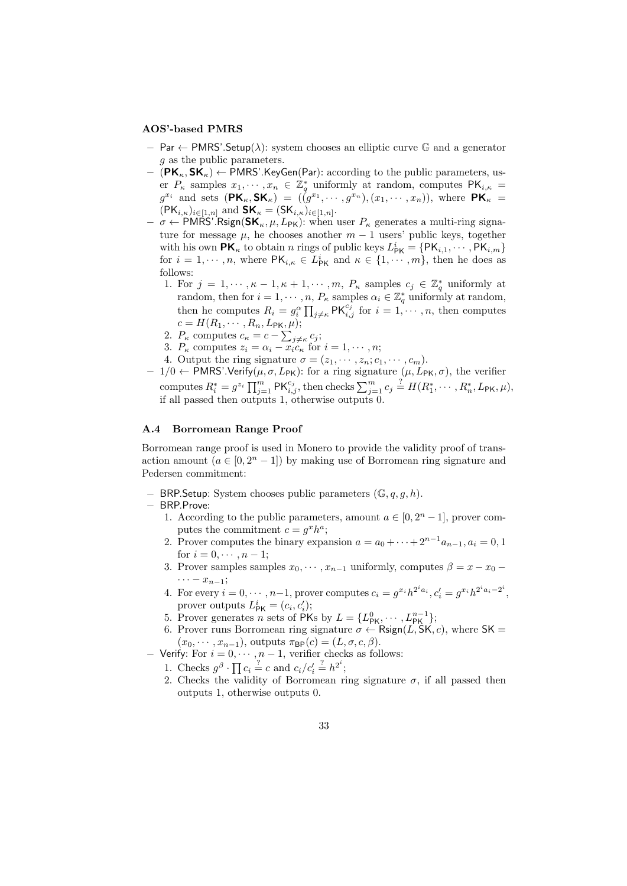### **AOS'-based PMRS**

- *−* Par *←* PMRS'.Setup(*λ*): system chooses an elliptic curve G and a generator *g* as the public parameters.
- *−* (**PK***κ,* **SK***κ*) *←* PMRS'.KeyGen(Par): according to the public parameters, user  $P_{\kappa}$  samples  $x_1, \dots, x_n \in \mathbb{Z}_q^*$  uniformly at random, computes  $\mathsf{PK}_{i,\kappa}$  =  $g^{x_i}$  and sets  $(\mathsf{PK}_{\kappa},\mathsf{SK}_{\kappa}) = ((g^{x_1},\cdots,g^{x_n}), (x_1,\cdots,x_n)),$  where  $\mathsf{PK}_{\kappa} =$  $(\mathsf{PK}_{i,\kappa})_{i\in[1,n]}$  and  $\mathsf{SK}_{\kappa} = (\mathsf{SK}_{i,\kappa})_{i\in[1,n]}.$
- *−*  $\sigma$  ← PMRS'.Rsign(SK<sub>*k*</sub>,  $\mu$ ,  $L_{PK}$ ): when user  $P_{\kappa}$  generates a multi-ring signature for message  $\mu$ , he chooses another  $m-1$  users' public keys, together with his own  $\mathsf{PK}_\kappa$  to obtain *n* rings of public keys  $L^i_{\mathsf{PK}} = \{ \mathsf{PK}_{i,1}, \cdots, \mathsf{PK}_{i,m} \}$ for  $i = 1, \dots, n$ , where  $PK_{i,k} \in L^i_{PK}$  and  $\kappa \in \{1, \dots, m\}$ , then he does as follows:
	- 1. For  $j = 1, \dots, \kappa 1, \kappa + 1, \dots, m$ ,  $P_{\kappa}$  samples  $c_j \in \mathbb{Z}_q^*$  uniformly at random, then for  $i = 1, \dots, n$ ,  $P_{\kappa}$  samples  $\alpha_i \in \mathbb{Z}_q^*$  uniformly at random, then he computes  $R_i = g_i^{\alpha} \prod_{j \neq \kappa} \textsf{PK}_{i,j}^{c_j}$  for  $i = 1, \dots, n$ , then computes  $c = H(R_1, \cdots, R_n, L_{\text{PK}}, \mu);$
	- 2.  $P_{\kappa}$  computes  $c_{\kappa} = c \sum_{j \neq \kappa}^{\infty} c_j$ ;
	- 3.  $P_{\kappa}$  computes  $z_i = \alpha_i x_i c_{\kappa}$  for  $i = 1, \dots, n;$
	- 4. Output the ring signature  $\sigma = (z_1, \dots, z_n; c_1, \dots, c_m)$ .
- *−* 1*/*0 *←* PMRS'.Verify(*µ, σ, L*PK): for a ring signature (*µ, L*PK*, σ*), the verifier computes  $R_i^* = g^{z_i} \prod_{j=1}^m \mathsf{PK}_{i,j}^{c_j}$ , then checks  $\sum_{j=1}^m c_j \stackrel{?}{=} H(R_1^*, \cdots, R_n^*, L_{\mathsf{PK}}, \mu)$ , if all passed then outputs 1, otherwise outputs 0.

# **A.4 Borromean Range Proof**

Borromean range proof is used in Monero to provide the validity proof of transaction amount  $(a \in [0, 2<sup>n</sup> - 1])$  by making use of Borromean ring signature and Pedersen commitment:

- *−* BRP.Setup: System chooses public parameters (G*, q, g, h*).
- *−* BRP.Prove:
	- 1. According to the public parameters, amount  $a \in [0, 2<sup>n</sup> 1]$ , prover computes the commitment  $c = g^x h^a$ ;
	- 2. Prover computes the binary expansion  $a = a_0 + \cdots + 2^{n-1}a_{n-1}, a_i = 0, 1$ for  $i = 0, \dots, n - 1;$
	- 3. Prover samples samples  $x_0, \dots, x_{n-1}$  uniformly, computes  $\beta = x x_0 -$ *· · · − x<sup>n</sup>−*<sup>1</sup>;
	- 4. For every  $i = 0, \dots, n-1$ , prover computes  $c_i = g^{x_i} h^{2^i a_i}, c'_i = g^{x_i} h^{2^i a_i 2^i}$ , prover outputs  $L_{\text{PK}}^i = (c_i, c'_i);$
	- 5. Prover generates *n* sets of PKs by  $L = \{L_{\text{PK}}^0, \cdots, L_{\text{PK}}^{n-1}\};$
	- 6. Prover runs Borromean ring signature  $\sigma \leftarrow \mathsf{Rsign}(L, \mathsf{SK}, c)$ , where  $\mathsf{SK} =$  $(x_0, \dots, x_{n-1})$ , outputs  $\pi_{\text{BP}}(c) = (L, \sigma, c, \beta)$ .
- *−* Verify: For  $i = 0, \cdots, n-1$ , verifier checks as follows:
	- 1. Checks  $g^{\beta} \cdot \prod c_i \stackrel{?}{=} c$  and  $c_i/c'_i \stackrel{?}{=} h^{2^i}$ ;
	- 2. Checks the validity of Borromean ring signature  $\sigma$ , if all passed then outputs 1, otherwise outputs 0.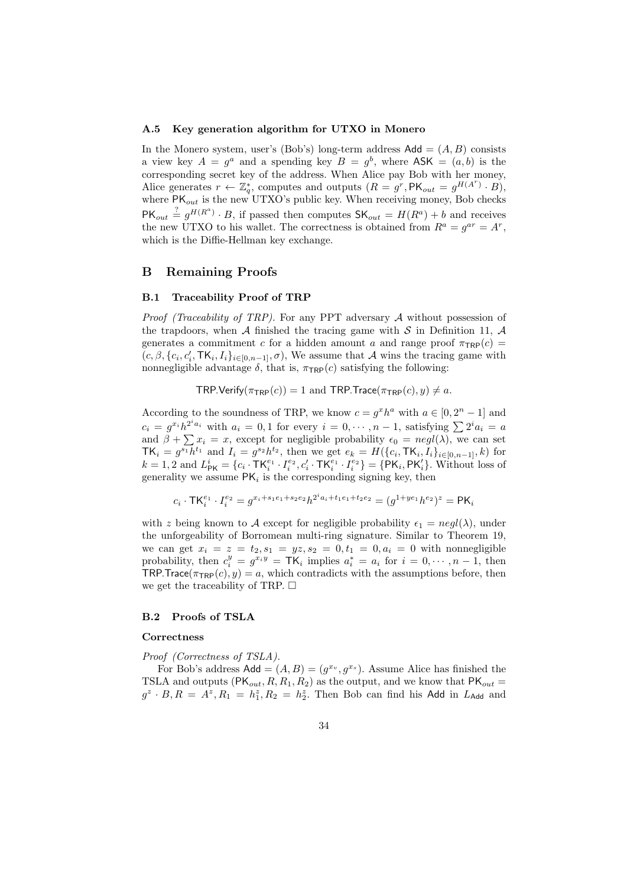#### **A.5 Key generation algorithm for UTXO in Monero**

In the Monero system, user's (Bob's) long-term address  $Add = (A, B)$  consists a view key  $A = g^a$  and a spending key  $B = g^b$ , where  $\mathsf{ASK} = (a, b)$  is the corresponding secret key of the address. When Alice pay Bob with her money, Alice generates  $r \leftarrow \mathbb{Z}_q^*$ , computes and outputs  $(R = g^r, \mathsf{PK}_{out} = g^{H(A^r)} \cdot B)$ , where PK*out* is the new UTXO's public key. When receiving money, Bob checks  $PK_{out} \stackrel{?}{=} g^{H(R^a)} \cdot B$ , if passed then computes  $SK_{out} = H(R^a) + b$  and receives the new UTXO to his wallet. The correctness is obtained from  $R^a = g^{ar} = A^r$ , which is the Diffie-Hellman key exchange.

# **B Remaining Proofs**

#### **B.1 Traceability Proof of TRP**

*Proof (Traceability of TRP).* For any PPT adversary *A* without possession of the trapdoors, when *A* finished the tracing game with *S* in Definition 11, *A* generates a commitment *c* for a hidden amount *a* and range proof  $\pi_{TRP}(c)$  =  $(c, \beta, \{c_i, c'_i, \mathsf{TK}_i, I_i\}_{i \in [0,n-1]}, \sigma)$ , We assume that *A* wins the tracing game with nonnegligible advantage  $\delta$ , that is,  $\pi_{TRP}(c)$  satisfying the following:

 $TRP.Verify(\pi_{TRP}(c)) = 1$  and  $TRP.Trace(\pi_{TRP}(c), y) \neq a$ .

According to the soundness of TRP, we know  $c = g^x h^a$  with  $a \in [0, 2^n - 1]$  and  $c_i = g^{x_i} h^{2^i a_i}$  with  $a_i = 0, 1$  for every  $i = 0, \dots, n-1$ , satisfying  $\sum 2^i a_i = a$ and  $\beta + \sum x_i = x$ , except for negligible probability  $\epsilon_0 = negl(\lambda)$ , we can set  $\mathsf{TK}_i = g^{s_1} h^{t_1}$  and  $I_i = g^{s_2} h^{t_2}$ , then we get  $e_k = H(\{c_i, \mathsf{TK}_i, I_i\}_{i \in [0, n-1]}, k)$  for  $k = 1, 2$  and  $L_{\text{PK}}^i = \{c_i \cdot \text{TK}_i^{e_1} \cdot I_i^{e_2}, c_i' \cdot \text{TK}_i^{e_1} \cdot I_i^{e_2}\} = \{\text{PK}_i, \text{PK}_i'\}.$  Without loss of generality we assume  $PK_i$  is the corresponding signing key, then

$$
c_i \cdot \mathsf{TK}_i^{e_1} \cdot I_i^{e_2} = g^{x_i + s_1 e_1 + s_2 e_2} h^{2^i a_i + t_1 e_1 + t_2 e_2} = (g^{1 + ye_1} h^{e_2})^z = \mathsf{PK}_i
$$

with *z* being known to *A* except for negligible probability  $\epsilon_1 = negl(\lambda)$ , under the unforgeability of Borromean multi-ring signature. Similar to Theorem 19, we can get  $x_i = z = t_2, s_1 = yz, s_2 = 0, t_1 = 0, a_i = 0$  with nonnegligible probability, then  $c_i^y = g^{x_i y} = \mathsf{T} \mathsf{K}_i$  implies  $a_i^* = a_i$  for  $i = 0, \dots, n-1$ , then TRP.Trace( $\pi_{TRP}(c)$ ,  $y$ ) = *a*, which contradicts with the assumptions before, then we get the traceability of TRP.  $\Box$ 

# **B.2 Proofs of TSLA**

### **Correctness**

*Proof (Correctness of TSLA).*

For Bob's address  $\mathsf{Add} = (A, B) = (g^{x_v}, g^{x_s})$ . Assume Alice has finished the TSLA and outputs  $(\mathsf{PK}_{out}, R, R_1, R_2)$  as the output, and we know that  $\mathsf{PK}_{out}$  $g^z \cdot B, R = A^z, R_1 = h_1^z, R_2 = h_2^z$ . Then Bob can find his Add in *L*<sub>Add</sub> and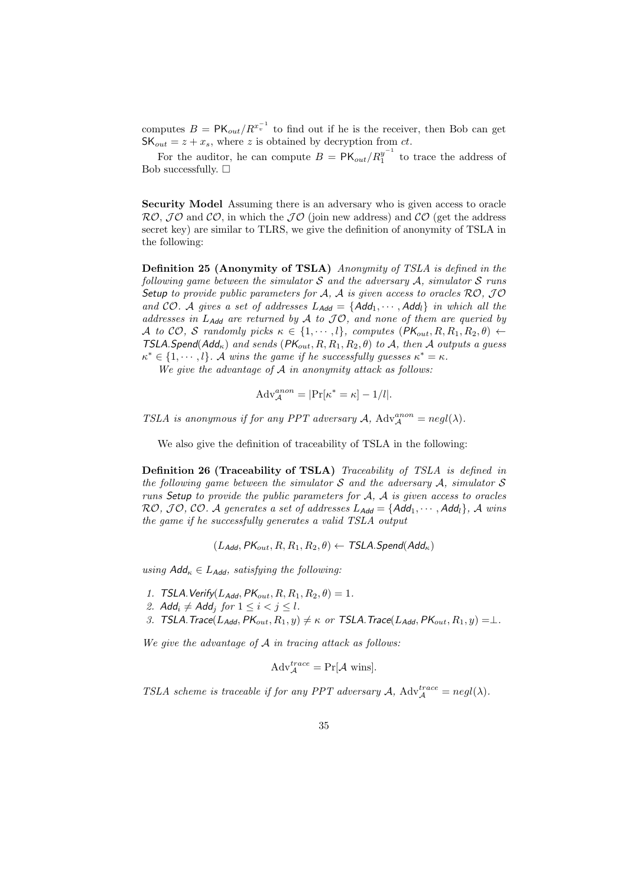computes  $B = \mathsf{PK}_{out}/R^{x_v^{-1}}$  to find out if he is the receiver, then Bob can get  $SK_{out} = z + x_s$ , where *z* is obtained by decryption from *ct*.

For the auditor, he can compute  $B = \mathsf{PK}_{out} / R_1^{y^{-1}}$  $\frac{y}{1}$  to trace the address of Bob successfully.  $\square$ 

**Security Model** Assuming there is an adversary who is given access to oracle *RO*, *J O* and *CO*, in which the *J O* (join new address) and *CO* (get the address secret key) are similar to TLRS, we give the definition of anonymity of TSLA in the following:

**Definition 25 (Anonymity of TSLA)** *Anonymity of TSLA is defined in the following game between the simulator S and the adversary A, simulator S runs Setup to provide public parameters for A, A is given access to oracles RO, J O and*  $CO$ *. A gives a set of addresses*  $L_{Add} = \{Add_1, \dots, Add_l\}$  *in which all the addresses in LAdd are returned by A to J O, and none of them are queried by A to CO, S randomly picks*  $\kappa \in \{1, \dots, l\}$ *, computes*  $(PK_{out}, R, R_1, R_2, \theta) \leftarrow$ *TSLA.Spend*( $\text{Add}_\kappa$ ) *and sends* ( $\text{PK}_{out}$ *, R, R<sub>1</sub></sub>, R<sub>2</sub>,*  $\theta$ *) <i>to A, then A outputs a guess*  $\kappa^* \in \{1, \dots, l\}$ *. A wins the game if he successfully guesses*  $\kappa^* = \kappa$ *.* 

*We give the advantage of A in anonymity attack as follows:*

$$
Adv_{\mathcal{A}}^{anon} = |\Pr[\kappa^* = \kappa] - 1/l|.
$$

*TSLA is anonymous if for any PPT adversary*  $A$ ,  $Adv_{A}^{anon} = negl(\lambda)$ .

We also give the definition of traceability of TSLA in the following:

**Definition 26 (Traceability of TSLA)** *Traceability of TSLA is defined in the following game between the simulator S and the adversary A, simulator S runs Setup to provide the public parameters for A, A is given access to oracles*  $RO, JO, CO. A generates a set of addresses L_{Add} = \{Add_1, \cdots, Add_l\}, A wins$ *the game if he successfully generates a valid TSLA output*

 $(L_{Add}, PK_{out}, R, R_1, R_2, \theta) \leftarrow \text{TSLA}.\text{Spend}(Add_{\kappa})$ 

*using*  $\mathsf{Add}_\kappa \in L_{\mathsf{Add}}$ *, satisfying the following:* 

- *1. TSLA.Verify*( $L_{Add}$ ,  $PK_{out}$ ,  $R$ ,  $R_1$ ,  $R_2$ ,  $\theta$ ) = 1*.*
- 2.  $\text{Add}_i \neq \text{Add}_i$  for  $1 \leq i < j \leq l$ .

3. TSLA. Trace( $L_{Add}$ ,  $PK_{out}$ ,  $R_1$ ,  $y$ )  $\neq$   $\kappa$  or TSLA. Trace( $L_{Add}$ ,  $PK_{out}$ ,  $R_1$ ,  $y$ )  $=$   $\perp$ .

*We give the advantage of A in tracing attack as follows:*

$$
Adv_{\mathcal{A}}^{trace} = \Pr[\mathcal{A} \text{ wins}].
$$

*TSLA scheme is traceable if for any PPT adversary A*,  $Adv_{\mathcal{A}}^{trace} = negl(\lambda)$ *.*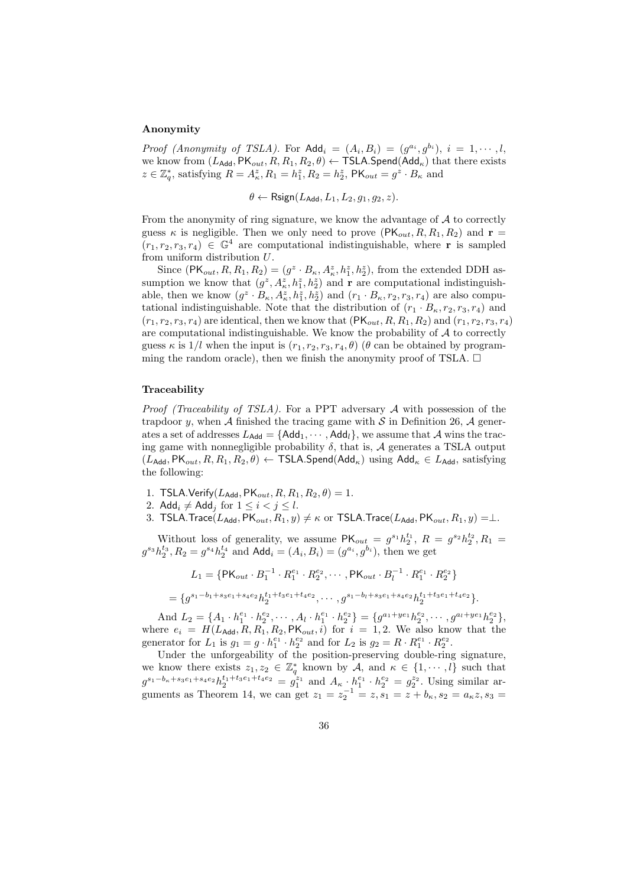#### **Anonymity**

*Proof* (*Anonymity of TSLA*). For  $\text{Add}_i = (A_i, B_i) = (g^{a_i}, g^{b_i}), i = 1, \cdots, l$ , we know from  $(L_{\text{Add}}, \text{PK}_{out}, R, R_1, R_2, \theta) \leftarrow \text{TSLA}$ . Spend(Add<sub>*K*</sub>) that there exists  $z \in \mathbb{Z}_q^*$ , satisfying  $R = A_{\kappa}^z, R_1 = h_1^z, R_2 = h_2^z$ ,  $\mathsf{PK}_{out} = g^z \cdot B_{\kappa}$  and

$$
\theta \leftarrow \mathsf{Rsign}(L_{\mathsf{Add}}, L_1, L_2, g_1, g_2, z).
$$

From the anonymity of ring signature, we know the advantage of *A* to correctly guess  $\kappa$  is negligible. Then we only need to prove  $(\mathsf{PK}_{out}, R, R_1, R_2)$  and  $\mathbf{r} =$  $(r_1, r_2, r_3, r_4) \in \mathbb{G}^4$  are computational indistinguishable, where **r** is sampled from uniform distribution *U*.

Since  $(\text{PK}_{out}, R, R_1, R_2) = (g^z \cdot B_\kappa, A_\kappa^z, h_1^z, h_2^z)$ , from the extended DDH assumption we know that  $(g^z, A^z_\kappa, h^z_1, h^z_2)$  and **r** are computational indistinguishable, then we know  $(g^z \cdot B_\kappa, A_\kappa^z, h_1^z, h_2^z)$  and  $(r_1 \cdot B_\kappa, r_2, r_3, r_4)$  are also computational indistinguishable. Note that the distribution of  $(r_1 \cdot B_{\kappa}, r_2, r_3, r_4)$  and  $(r_1, r_2, r_3, r_4)$  are identical, then we know that  $(\text{PK}_{out}, R, R_1, R_2)$  and  $(r_1, r_2, r_3, r_4)$ are computational indistinguishable. We know the probability of *A* to correctly guess  $\kappa$  is  $1/l$  when the input is  $(r_1, r_2, r_3, r_4, \theta)$  ( $\theta$  can be obtained by programming the random oracle), then we finish the anonymity proof of TSLA.  $\Box$ 

# **Traceability**

= *{g*

*Proof (Traceability of TSLA).* For a PPT adversary *A* with possession of the trapdoor *y*, when A finished the tracing game with S in Definition 26, A generates a set of addresses  $L_{\text{Add}} = {\text{Add}_1, \cdots, \text{Add}_l}$ , we assume that *A* wins the tracing game with nonnegligible probability  $\delta$ , that is,  $\mathcal A$  generates a TSLA output  $(L_{\text{Add}}, PK_{out}, R, R_1, R_2, \theta) \leftarrow \text{TSLA.Spend}(\text{Add}_{\kappa})$  using  $\text{Add}_{\kappa} \in L_{\text{Add}}$ , satisfying the following:

- 1. TSLA.Verify( $L_{\text{Add}}$ , PK<sub>out</sub>,  $R, R_1, R_2, \theta$ ) = 1.
- 2. Add<sub>*i*</sub>  $\neq$  Add<sub>*i*</sub> for  $1 \leq i < j \leq l$ .
- 3. TSLA.Trace( $L_{\text{Add}}, \text{PK}_{out}, R_1, y$ )  $\neq \kappa$  or TSLA.Trace( $L_{\text{Add}}, \text{PK}_{out}, R_1, y$ ) = $\perp$ .

Without loss of generality, we assume  $PK_{out} = g^{s_1}h_2^{t_1}, R = g^{s_2}h_2^{t_2}, R_1 =$  $g^{s_3}h_2^{t_3}, R_2 = g^{s_4}h_2^{t_4}$  and  $\text{Add}_i = (A_i, B_i) = (g^{a_i}, g^{b_i})$ , then we get

$$
L_1 = \{ \mathsf{PK}_{out} \cdot B_1^{-1} \cdot R_1^{e_1} \cdot R_2^{e_2}, \cdots, \mathsf{PK}_{out} \cdot B_l^{-1} \cdot R_1^{e_1} \cdot R_2^{e_2} \}
$$
  
= 
$$
\{ g^{s_1 - b_1 + s_3 e_1 + s_4 e_2} h_2^{t_1 + t_3 e_1 + t_4 e_2}, \cdots, g^{s_1 - b_l + s_3 e_1 + s_4 e_2} h_2^{t_1 + t_3 e_1 + t_4 e_2} \}.
$$

And  $L_2 = \{A_1 \cdot h_1^{e_1} \cdot h_2^{e_2}, \cdots, A_l \cdot h_1^{e_1} \cdot h_2^{e_2}\} = \{g^{a_1+ye_1}h_2^{e_2}, \cdots, g^{a_l+ye_1}h_2^{e_2}\},$ where  $e_i = H(L_{\text{Add}}, R, R_1, R_2, \text{PK}_{out}, i)$  for  $i = 1, 2$ . We also know that the generator for  $L_1$  is  $g_1 = g \cdot h_1^{e_1} \cdot h_2^{e_2}$  and for  $L_2$  is  $g_2 = R \cdot R_1^{e_1} \cdot R_2^{e_2}$ .

Under the unforgeability of the position-preserving double-ring signature, we know there exists  $z_1, z_2 \in \mathbb{Z}_q^*$  known by *A*, and  $\kappa \in \{1, \dots, l\}$  such that  $g^{s_1-b_{\kappa}+s_3e_1+s_4e_2}h_2^{t_1+t_3e_1+t_4e_2}=g_1^{z_1}$  and  $A_{\kappa}\cdot h_1^{e_1}\cdot h_2^{e_2}=g_2^{z_2}$ . Using similar arguments as Theorem 14, we can get  $z_1 = z_2^{-1} = z$ ,  $s_1 = z + b_{\kappa}, s_2 = a_{\kappa}z$ ,  $s_3 =$